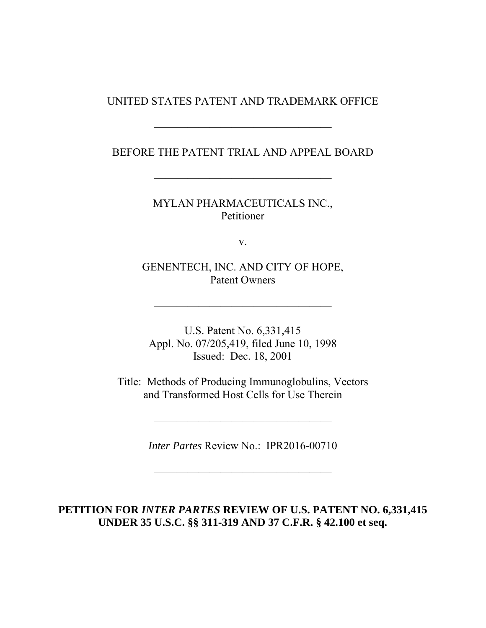## UNITED STATES PATENT AND TRADEMARK OFFICE

## BEFORE THE PATENT TRIAL AND APPEAL BOARD

————————————————

————————————————

MYLAN PHARMACEUTICALS INC., Petitioner

v.

GENENTECH, INC. AND CITY OF HOPE, Patent Owners

————————————————

U.S. Patent No. 6,331,415 Appl. No. 07/205,419, filed June 10, 1998 Issued: Dec. 18, 2001

Title: Methods of Producing Immunoglobulins, Vectors and Transformed Host Cells for Use Therein

*Inter Partes* Review No.: IPR2016-00710

————————————————

————————————————

# **PETITION FOR** *INTER PARTES* **REVIEW OF U.S. PATENT NO. 6,331,415 UNDER 35 U.S.C. §§ 311-319 AND 37 C.F.R. § 42.100 et seq.**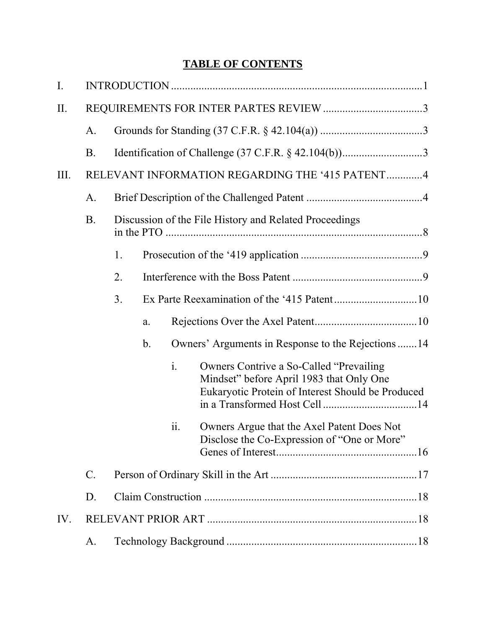# **TABLE OF CONTENTS**

| I.   |                 |    |               |                |                                                                                                                                           |  |
|------|-----------------|----|---------------|----------------|-------------------------------------------------------------------------------------------------------------------------------------------|--|
| II.  |                 |    |               |                |                                                                                                                                           |  |
|      | A.              |    |               |                |                                                                                                                                           |  |
|      | <b>B</b> .      |    |               |                |                                                                                                                                           |  |
| III. |                 |    |               |                | RELEVANT INFORMATION REGARDING THE '415 PATENT4                                                                                           |  |
|      | A.              |    |               |                |                                                                                                                                           |  |
|      | <b>B.</b>       |    |               |                | Discussion of the File History and Related Proceedings                                                                                    |  |
|      |                 | 1. |               |                |                                                                                                                                           |  |
|      |                 | 2. |               |                |                                                                                                                                           |  |
|      |                 | 3. |               |                |                                                                                                                                           |  |
|      |                 |    | a.            |                |                                                                                                                                           |  |
|      |                 |    | $\mathbf b$ . |                | Owners' Arguments in Response to the Rejections 14                                                                                        |  |
|      |                 |    |               | $\mathbf{i}$ . | Owners Contrive a So-Called "Prevailing"<br>Mindset" before April 1983 that Only One<br>Eukaryotic Protein of Interest Should be Produced |  |
|      |                 |    |               | 11.            | Owners Argue that the Axel Patent Does Not<br>Disclose the Co-Expression of "One or More"                                                 |  |
|      | $\mathcal{C}$ . |    |               |                |                                                                                                                                           |  |
|      | D.              |    |               |                |                                                                                                                                           |  |
| IV.  |                 |    |               |                |                                                                                                                                           |  |
|      | A.              |    |               |                |                                                                                                                                           |  |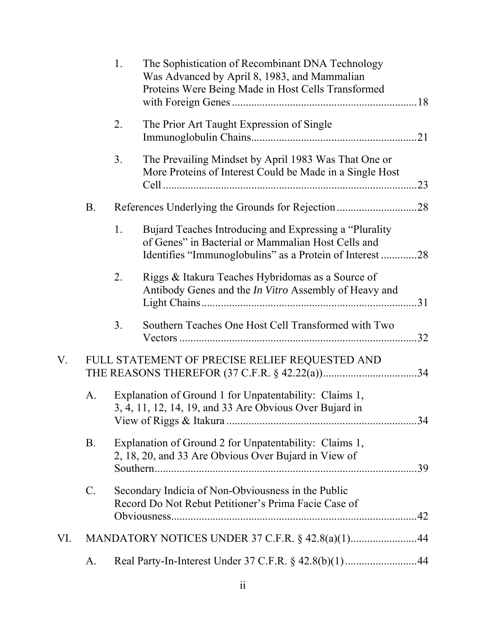|     |                 | 1. | The Sophistication of Recombinant DNA Technology<br>Was Advanced by April 8, 1983, and Mammalian<br>Proteins Were Being Made in Host Cells Transformed                   |     |
|-----|-----------------|----|--------------------------------------------------------------------------------------------------------------------------------------------------------------------------|-----|
|     |                 | 2. | The Prior Art Taught Expression of Single                                                                                                                                |     |
|     |                 | 3. | The Prevailing Mindset by April 1983 Was That One or<br>More Proteins of Interest Could be Made in a Single Host                                                         | 23  |
|     | <b>B.</b>       |    | References Underlying the Grounds for Rejection28                                                                                                                        |     |
|     |                 | 1. | Bujard Teaches Introducing and Expressing a "Plurality<br>of Genes" in Bacterial or Mammalian Host Cells and<br>Identifies "Immunoglobulins" as a Protein of Interest 28 |     |
|     |                 | 2. | Riggs & Itakura Teaches Hybridomas as a Source of<br>Antibody Genes and the <i>In Vitro</i> Assembly of Heavy and                                                        |     |
|     |                 | 3. | Southern Teaches One Host Cell Transformed with Two                                                                                                                      | .32 |
| V.  |                 |    | FULL STATEMENT OF PRECISE RELIEF REQUESTED AND                                                                                                                           |     |
|     | A.              |    | Explanation of Ground 1 for Unpatentability: Claims 1,<br>3, 4, 11, 12, 14, 19, and 33 Are Obvious Over Bujard in                                                        |     |
|     | <b>B.</b>       |    | Explanation of Ground 2 for Unpatentability: Claims 1,<br>2, 18, 20, and 33 Are Obvious Over Bujard in View of                                                           |     |
|     | $\mathcal{C}$ . |    | Secondary Indicia of Non-Obviousness in the Public<br>Record Do Not Rebut Petitioner's Prima Facie Case of                                                               |     |
| VI. |                 |    | MANDATORY NOTICES UNDER 37 C.F.R. § 42.8(a)(1)44                                                                                                                         |     |
|     | A.              |    | Real Party-In-Interest Under 37 C.F.R. § 42.8(b)(1)44                                                                                                                    |     |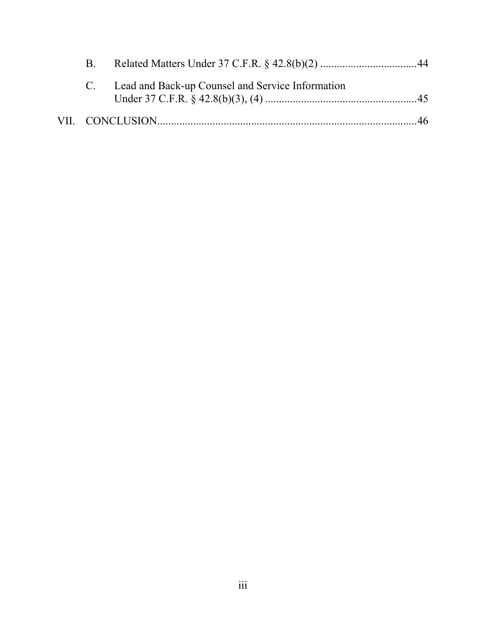|  | C. Lead and Back-up Counsel and Service Information |  |
|--|-----------------------------------------------------|--|
|  |                                                     |  |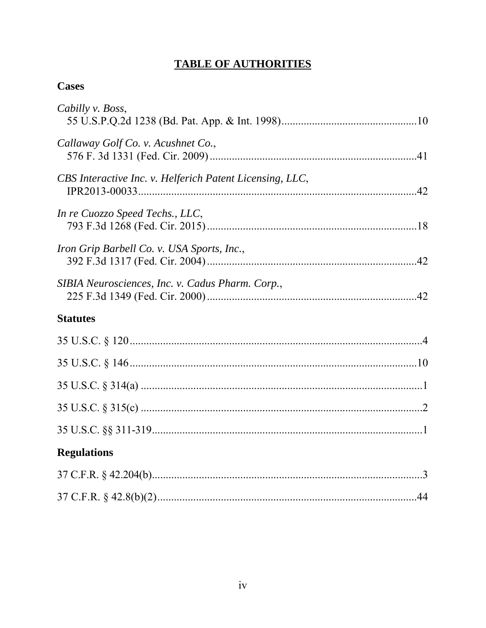# **TABLE OF AUTHORITIES**

# **Cases**

| Cabilly v. Boss,                                         |  |
|----------------------------------------------------------|--|
| Callaway Golf Co. v. Acushnet Co.,                       |  |
| CBS Interactive Inc. v. Helferich Patent Licensing, LLC, |  |
| In re Cuozzo Speed Techs., LLC,                          |  |
| Iron Grip Barbell Co. v. USA Sports, Inc.,               |  |
| SIBIA Neurosciences, Inc. v. Cadus Pharm. Corp.,         |  |
| <b>Statutes</b>                                          |  |
|                                                          |  |
|                                                          |  |
|                                                          |  |
|                                                          |  |
|                                                          |  |
|                                                          |  |
| <b>Regulations</b>                                       |  |
|                                                          |  |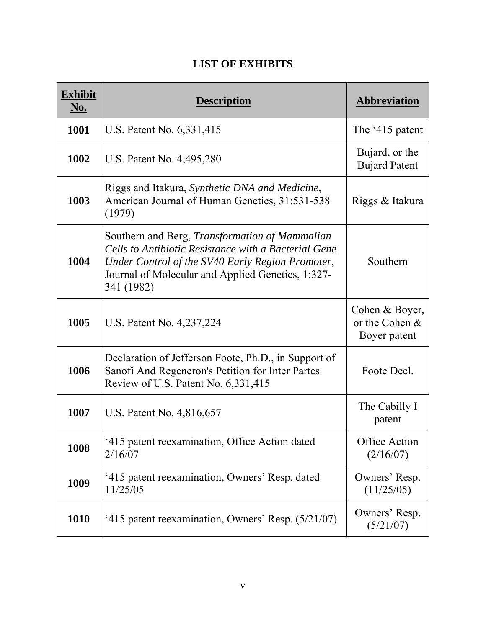# **LIST OF EXHIBITS**

| <b>Exhibit</b><br><u>No.</u> | <b>Description</b>                                                                                                                                                                                                                   | <b>Abbreviation</b>                                |
|------------------------------|--------------------------------------------------------------------------------------------------------------------------------------------------------------------------------------------------------------------------------------|----------------------------------------------------|
| 1001                         | U.S. Patent No. 6,331,415                                                                                                                                                                                                            | The '415 patent                                    |
| 1002                         | U.S. Patent No. 4,495,280                                                                                                                                                                                                            | Bujard, or the<br><b>Bujard Patent</b>             |
| 1003                         | Riggs and Itakura, Synthetic DNA and Medicine,<br>American Journal of Human Genetics, 31:531-538<br>(1979)                                                                                                                           | Riggs & Itakura                                    |
| 1004                         | Southern and Berg, <i>Transformation of Mammalian</i><br>Cells to Antibiotic Resistance with a Bacterial Gene<br>Under Control of the SV40 Early Region Promoter,<br>Journal of Molecular and Applied Genetics, 1:327-<br>341 (1982) | Southern                                           |
| 1005                         | U.S. Patent No. 4,237,224                                                                                                                                                                                                            | Cohen & Boyer,<br>or the Cohen $&$<br>Boyer patent |
| 1006                         | Declaration of Jefferson Foote, Ph.D., in Support of<br>Sanofi And Regeneron's Petition for Inter Partes<br>Review of U.S. Patent No. 6,331,415                                                                                      | Foote Decl.                                        |
| 1007                         | U.S. Patent No. 4,816,657                                                                                                                                                                                                            | The Cabilly I<br>patent                            |
| 1008                         | '415 patent reexamination, Office Action dated<br>2/16/07                                                                                                                                                                            | Office Action<br>(2/16/07)                         |
| 1009                         | '415 patent reexamination, Owners' Resp. dated<br>11/25/05                                                                                                                                                                           | Owners' Resp.<br>(11/25/05)                        |
| <b>1010</b>                  | '415 patent reexamination, Owners' Resp. (5/21/07)                                                                                                                                                                                   | Owners' Resp.<br>(5/21/07)                         |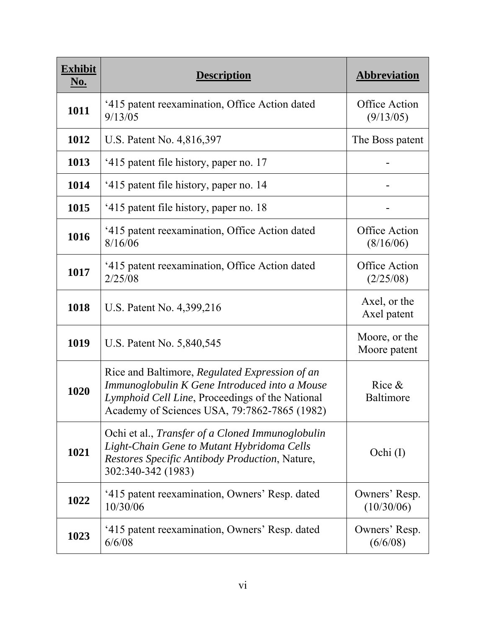| <b>Exhibit</b><br><u>No.</u> | <b>Description</b>                                                                                                                                                                                 | <b>Abbreviation</b>               |
|------------------------------|----------------------------------------------------------------------------------------------------------------------------------------------------------------------------------------------------|-----------------------------------|
| 1011                         | '415 patent reexamination, Office Action dated<br>9/13/05                                                                                                                                          | Office Action<br>(9/13/05)        |
| 1012                         | U.S. Patent No. 4,816,397                                                                                                                                                                          | The Boss patent                   |
| 1013                         | '415 patent file history, paper no. 17                                                                                                                                                             |                                   |
| 1014                         | '415 patent file history, paper no. 14                                                                                                                                                             |                                   |
| 1015                         | '415 patent file history, paper no. 18                                                                                                                                                             |                                   |
| 1016                         | '415 patent reexamination, Office Action dated<br>8/16/06                                                                                                                                          | <b>Office Action</b><br>(8/16/06) |
| 1017                         | '415 patent reexamination, Office Action dated<br>2/25/08                                                                                                                                          | <b>Office Action</b><br>(2/25/08) |
| 1018                         | U.S. Patent No. 4,399,216                                                                                                                                                                          | Axel, or the<br>Axel patent       |
| 1019                         | U.S. Patent No. 5,840,545                                                                                                                                                                          | Moore, or the<br>Moore patent     |
| 1020                         | Rice and Baltimore, Regulated Expression of an<br>Immunoglobulin K Gene Introduced into a Mouse<br>Lymphoid Cell Line, Proceedings of the National<br>Academy of Sciences USA, 79:7862-7865 (1982) | Rice $\&$<br><b>Baltimore</b>     |
| 1021                         | Ochi et al., <i>Transfer of a Cloned Immunoglobulin</i><br>Light-Chain Gene to Mutant Hybridoma Cells<br>Restores Specific Antibody Production, Nature,<br>302:340-342 (1983)                      | Ochi (I)                          |
| 1022                         | '415 patent reexamination, Owners' Resp. dated<br>10/30/06                                                                                                                                         | Owners' Resp.<br>(10/30/06)       |
| 1023                         | '415 patent reexamination, Owners' Resp. dated<br>6/6/08                                                                                                                                           | Owners' Resp.<br>(6/6/08)         |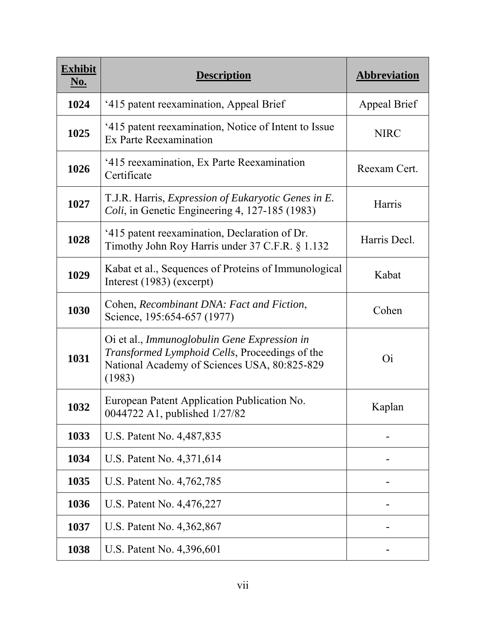| <b>Exhibit</b><br><u>No.</u> | <b>Description</b>                                                                                                                                       | <b>Abbreviation</b> |
|------------------------------|----------------------------------------------------------------------------------------------------------------------------------------------------------|---------------------|
| 1024                         | '415 patent reexamination, Appeal Brief                                                                                                                  | Appeal Brief        |
| 1025                         | '415 patent reexamination, Notice of Intent to Issue<br>Ex Parte Reexamination                                                                           | <b>NIRC</b>         |
| 1026                         | '415 reexamination, Ex Parte Reexamination<br>Certificate                                                                                                | Reexam Cert.        |
| 1027                         | T.J.R. Harris, Expression of Eukaryotic Genes in E.<br>Coli, in Genetic Engineering 4, 127-185 (1983)                                                    | Harris              |
| 1028                         | '415 patent reexamination, Declaration of Dr.<br>Timothy John Roy Harris under 37 C.F.R. § 1.132                                                         | Harris Decl.        |
| 1029                         | Kabat et al., Sequences of Proteins of Immunological<br>Interest $(1983)$ (excerpt)                                                                      | Kabat               |
| 1030                         | Cohen, Recombinant DNA: Fact and Fiction,<br>Science, 195:654-657 (1977)                                                                                 | Cohen               |
| 1031                         | Oi et al., Immunoglobulin Gene Expression in<br>Transformed Lymphoid Cells, Proceedings of the<br>National Academy of Sciences USA, 80:825-829<br>(1983) | <b>Oi</b>           |
| 1032                         | European Patent Application Publication No.<br>0044722 A1, published 1/27/82                                                                             | Kaplan              |
| 1033                         | U.S. Patent No. 4,487,835                                                                                                                                |                     |
| 1034                         | U.S. Patent No. 4,371,614                                                                                                                                |                     |
| 1035                         | U.S. Patent No. 4,762,785                                                                                                                                |                     |
| 1036                         | U.S. Patent No. 4,476,227                                                                                                                                |                     |
| 1037                         | U.S. Patent No. 4,362,867                                                                                                                                |                     |
| 1038                         | U.S. Patent No. 4,396,601                                                                                                                                |                     |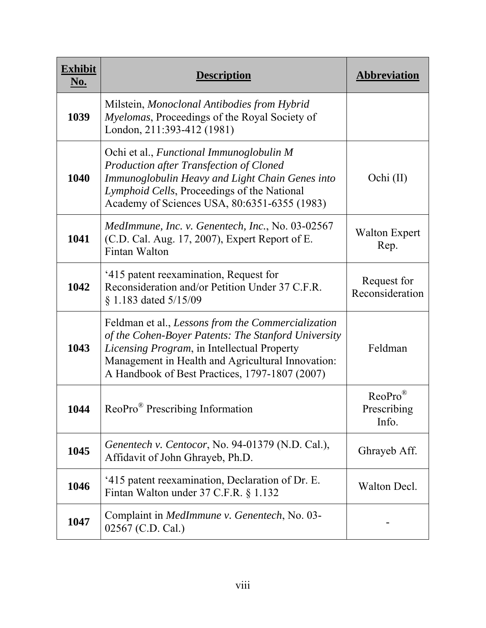| <b>Exhibit</b><br><u>No.</u> | Description                                                                                                                                                                                                                                                     | <b>Abbreviation</b>                          |
|------------------------------|-----------------------------------------------------------------------------------------------------------------------------------------------------------------------------------------------------------------------------------------------------------------|----------------------------------------------|
| 1039                         | Milstein, Monoclonal Antibodies from Hybrid<br><i>Myelomas</i> , Proceedings of the Royal Society of<br>London, 211:393-412 (1981)                                                                                                                              |                                              |
| 1040                         | Ochi et al., Functional Immunoglobulin M<br><b>Production after Transfection of Cloned</b><br>Immunoglobulin Heavy and Light Chain Genes into<br>Lymphoid Cells, Proceedings of the National<br>Academy of Sciences USA, 80:6351-6355 (1983)                    | Ochi (II)                                    |
| 1041                         | MedImmune, Inc. v. Genentech, Inc., No. 03-02567<br>(C.D. Cal. Aug. 17, 2007), Expert Report of E.<br>Fintan Walton                                                                                                                                             | <b>Walton Expert</b><br>Rep.                 |
| 1042                         | '415 patent reexamination, Request for<br>Reconsideration and/or Petition Under 37 C.F.R.<br>§ 1.183 dated 5/15/09                                                                                                                                              | Request for<br>Reconsideration               |
| 1043                         | Feldman et al., Lessons from the Commercialization<br>of the Cohen-Boyer Patents: The Stanford University<br>Licensing Program, in Intellectual Property<br>Management in Health and Agricultural Innovation:<br>A Handbook of Best Practices, 1797-1807 (2007) | Feldman                                      |
| 1044                         | ReoPro <sup>®</sup> Prescribing Information                                                                                                                                                                                                                     | $ReoPro^{\circledR}$<br>Prescribing<br>Info. |
| 1045                         | Genentech v. Centocor, No. 94-01379 (N.D. Cal.),<br>Affidavit of John Ghrayeb, Ph.D.                                                                                                                                                                            | Ghrayeb Aff.                                 |
| 1046                         | '415 patent reexamination, Declaration of Dr. E.<br>Fintan Walton under 37 C.F.R. § 1.132                                                                                                                                                                       | Walton Decl.                                 |
| 1047                         | Complaint in <i>MedImmune v. Genentech</i> , No. 03-<br>02567 (C.D. Cal.)                                                                                                                                                                                       |                                              |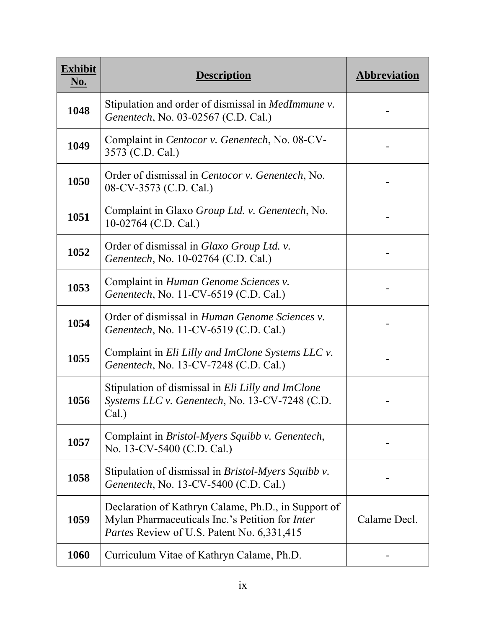| <b>Exhibit</b><br><u>No.</u> | <b>Description</b>                                                                                                                                          | <b>Abbreviation</b> |
|------------------------------|-------------------------------------------------------------------------------------------------------------------------------------------------------------|---------------------|
| 1048                         | Stipulation and order of dismissal in <i>MedImmune v</i> .<br>Genentech, No. 03-02567 (C.D. Cal.)                                                           |                     |
| 1049                         | Complaint in Centocor v. Genentech, No. 08-CV-<br>3573 (C.D. Cal.)                                                                                          |                     |
| 1050                         | Order of dismissal in Centocor v. Genentech, No.<br>08-CV-3573 (C.D. Cal.)                                                                                  |                     |
| 1051                         | Complaint in Glaxo Group Ltd. v. Genentech, No.<br>10-02764 (C.D. Cal.)                                                                                     |                     |
| 1052                         | Order of dismissal in <i>Glaxo Group Ltd.</i> v.<br>Genentech, No. 10-02764 (C.D. Cal.)                                                                     |                     |
| 1053                         | Complaint in Human Genome Sciences v.<br>Genentech, No. 11-CV-6519 (C.D. Cal.)                                                                              |                     |
| 1054                         | Order of dismissal in <i>Human Genome Sciences v.</i><br>Genentech, No. 11-CV-6519 (C.D. Cal.)                                                              |                     |
| 1055                         | Complaint in Eli Lilly and ImClone Systems LLC v.<br>Genentech, No. 13-CV-7248 (C.D. Cal.)                                                                  |                     |
| 1056                         | Stipulation of dismissal in Eli Lilly and ImClone<br>Systems LLC v. Genentech, No. 13-CV-7248 (C.D.<br>Cal.)                                                |                     |
| 1057                         | Complaint in Bristol-Myers Squibb v. Genentech,<br>No. 13-CV-5400 (C.D. Cal.)                                                                               |                     |
| 1058                         | Stipulation of dismissal in <i>Bristol-Myers Squibb v</i> .<br>Genentech, No. 13-CV-5400 (C.D. Cal.)                                                        |                     |
| 1059                         | Declaration of Kathryn Calame, Ph.D., in Support of<br>Mylan Pharmaceuticals Inc.'s Petition for Inter<br><i>Partes</i> Review of U.S. Patent No. 6,331,415 | Calame Decl.        |
| 1060                         | Curriculum Vitae of Kathryn Calame, Ph.D.                                                                                                                   |                     |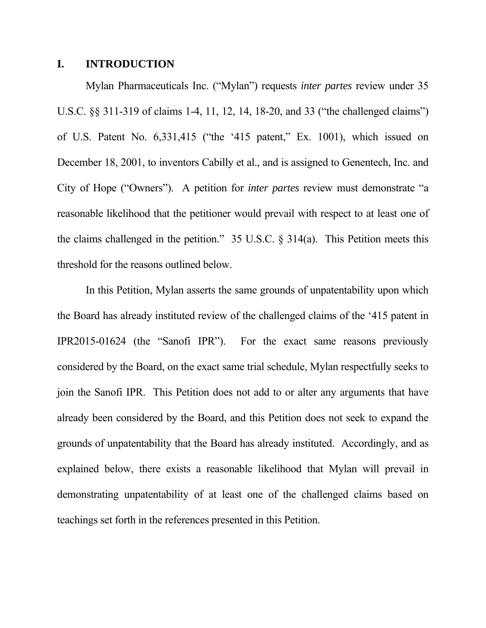## **I. INTRODUCTION**

Mylan Pharmaceuticals Inc. ("Mylan") requests *inter partes* review under 35 U.S.C. §§ 311-319 of claims 1-4, 11, 12, 14, 18-20, and 33 ("the challenged claims") of U.S. Patent No. 6,331,415 ("the '415 patent," Ex. 1001), which issued on December 18, 2001, to inventors Cabilly et al., and is assigned to Genentech, Inc. and City of Hope ("Owners"). A petition for *inter partes* review must demonstrate "a reasonable likelihood that the petitioner would prevail with respect to at least one of the claims challenged in the petition." 35 U.S.C. § 314(a). This Petition meets this threshold for the reasons outlined below.

In this Petition, Mylan asserts the same grounds of unpatentability upon which the Board has already instituted review of the challenged claims of the '415 patent in IPR2015-01624 (the "Sanofi IPR"). For the exact same reasons previously considered by the Board, on the exact same trial schedule, Mylan respectfully seeks to join the Sanofi IPR. This Petition does not add to or alter any arguments that have already been considered by the Board, and this Petition does not seek to expand the grounds of unpatentability that the Board has already instituted. Accordingly, and as explained below, there exists a reasonable likelihood that Mylan will prevail in demonstrating unpatentability of at least one of the challenged claims based on teachings set forth in the references presented in this Petition.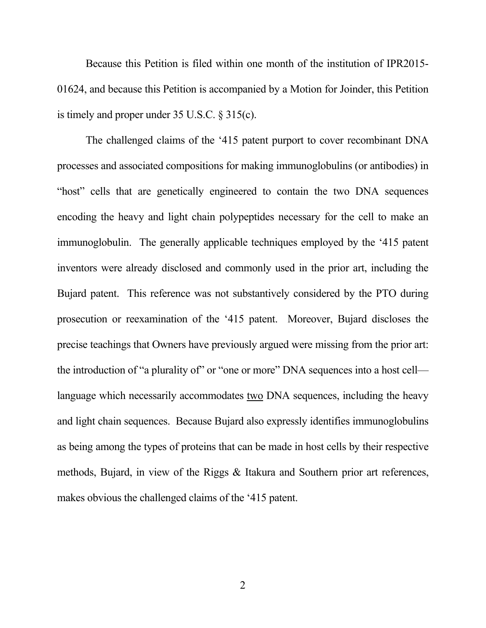Because this Petition is filed within one month of the institution of IPR2015- 01624, and because this Petition is accompanied by a Motion for Joinder, this Petition is timely and proper under 35 U.S.C. § 315(c).

The challenged claims of the '415 patent purport to cover recombinant DNA processes and associated compositions for making immunoglobulins (or antibodies) in "host" cells that are genetically engineered to contain the two DNA sequences encoding the heavy and light chain polypeptides necessary for the cell to make an immunoglobulin. The generally applicable techniques employed by the '415 patent inventors were already disclosed and commonly used in the prior art, including the Bujard patent. This reference was not substantively considered by the PTO during prosecution or reexamination of the '415 patent. Moreover, Bujard discloses the precise teachings that Owners have previously argued were missing from the prior art: the introduction of "a plurality of" or "one or more" DNA sequences into a host cell language which necessarily accommodates two DNA sequences, including the heavy and light chain sequences. Because Bujard also expressly identifies immunoglobulins as being among the types of proteins that can be made in host cells by their respective methods, Bujard, in view of the Riggs & Itakura and Southern prior art references, makes obvious the challenged claims of the '415 patent.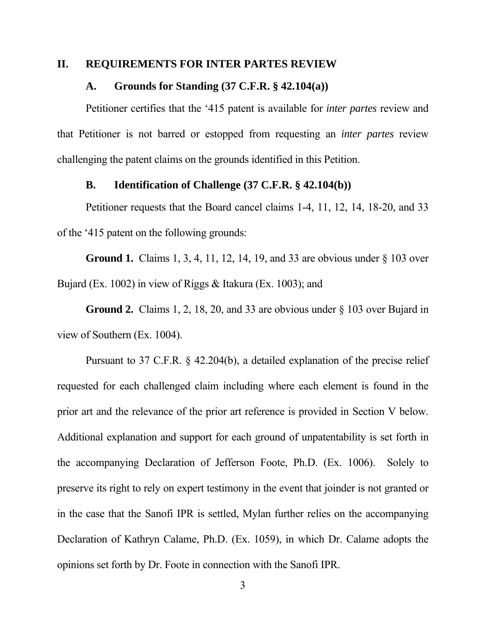#### **II. REQUIREMENTS FOR INTER PARTES REVIEW**

#### **A. Grounds for Standing (37 C.F.R. § 42.104(a))**

Petitioner certifies that the '415 patent is available for *inter partes* review and that Petitioner is not barred or estopped from requesting an *inter partes* review challenging the patent claims on the grounds identified in this Petition.

### **B. Identification of Challenge (37 C.F.R. § 42.104(b))**

Petitioner requests that the Board cancel claims 1-4, 11, 12, 14, 18-20, and 33 of the '415 patent on the following grounds:

**Ground 1.** Claims 1, 3, 4, 11, 12, 14, 19, and 33 are obvious under § 103 over Bujard (Ex. 1002) in view of Riggs & Itakura (Ex. 1003); and

**Ground 2.** Claims 1, 2, 18, 20, and 33 are obvious under § 103 over Bujard in view of Southern (Ex. 1004).

Pursuant to 37 C.F.R. § 42.204(b), a detailed explanation of the precise relief requested for each challenged claim including where each element is found in the prior art and the relevance of the prior art reference is provided in Section V below. Additional explanation and support for each ground of unpatentability is set forth in the accompanying Declaration of Jefferson Foote, Ph.D. (Ex. 1006). Solely to preserve its right to rely on expert testimony in the event that joinder is not granted or in the case that the Sanofi IPR is settled, Mylan further relies on the accompanying Declaration of Kathryn Calame, Ph.D. (Ex. 1059), in which Dr. Calame adopts the opinions set forth by Dr. Foote in connection with the Sanofi IPR.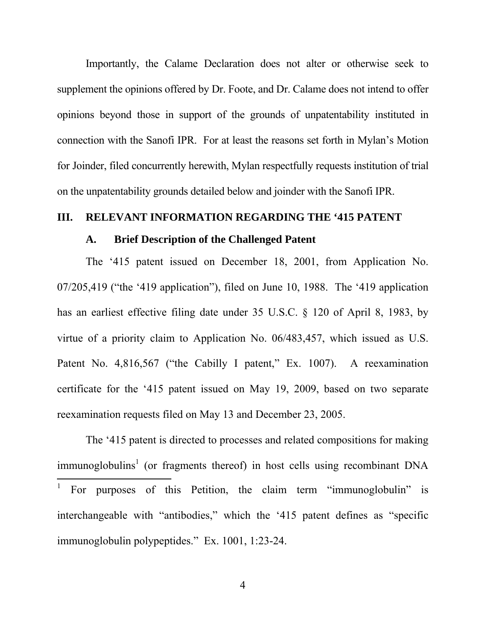Importantly, the Calame Declaration does not alter or otherwise seek to supplement the opinions offered by Dr. Foote, and Dr. Calame does not intend to offer opinions beyond those in support of the grounds of unpatentability instituted in connection with the Sanofi IPR. For at least the reasons set forth in Mylan's Motion for Joinder, filed concurrently herewith, Mylan respectfully requests institution of trial on the unpatentability grounds detailed below and joinder with the Sanofi IPR.

## **III. RELEVANT INFORMATION REGARDING THE '415 PATENT**

#### **A. Brief Description of the Challenged Patent**

The '415 patent issued on December 18, 2001, from Application No. 07/205,419 ("the '419 application"), filed on June 10, 1988. The '419 application has an earliest effective filing date under 35 U.S.C. § 120 of April 8, 1983, by virtue of a priority claim to Application No. 06/483,457, which issued as U.S. Patent No. 4,816,567 ("the Cabilly I patent," Ex. 1007). A reexamination certificate for the '415 patent issued on May 19, 2009, based on two separate reexamination requests filed on May 13 and December 23, 2005.

The '415 patent is directed to processes and related compositions for making immunoglobulins<sup>1</sup> (or fragments thereof) in host cells using recombinant DNA  $\overline{a}$ 1 For purposes of this Petition, the claim term "immunoglobulin" is interchangeable with "antibodies," which the '415 patent defines as "specific immunoglobulin polypeptides." Ex. 1001, 1:23-24.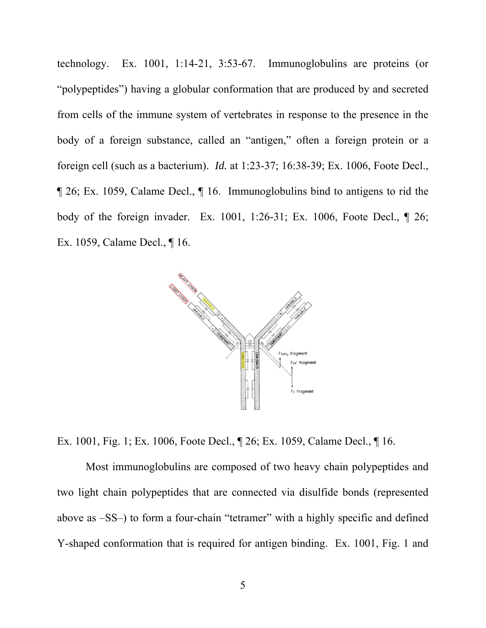technology. Ex. 1001, 1:14-21, 3:53-67. Immunoglobulins are proteins (or "polypeptides") having a globular conformation that are produced by and secreted from cells of the immune system of vertebrates in response to the presence in the body of a foreign substance, called an "antigen," often a foreign protein or a foreign cell (such as a bacterium). *Id.* at 1:23-37; 16:38-39; Ex. 1006, Foote Decl., ¶ 26; Ex. 1059, Calame Decl., ¶ 16. Immunoglobulins bind to antigens to rid the body of the foreign invader. Ex. 1001, 1:26-31; Ex. 1006, Foote Decl., ¶ 26; Ex. 1059, Calame Decl., ¶ 16.



Ex. 1001, Fig. 1; Ex. 1006, Foote Decl., ¶ 26; Ex. 1059, Calame Decl., ¶ 16.

Most immunoglobulins are composed of two heavy chain polypeptides and two light chain polypeptides that are connected via disulfide bonds (represented above as –SS–) to form a four-chain "tetramer" with a highly specific and defined Y-shaped conformation that is required for antigen binding. Ex. 1001, Fig. 1 and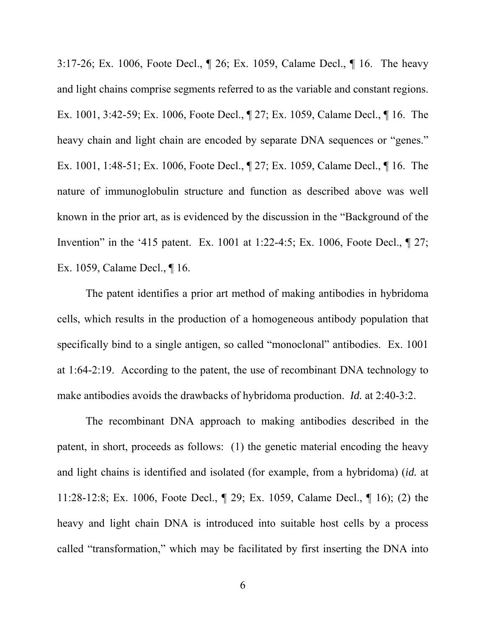3:17-26; Ex. 1006, Foote Decl., ¶ 26; Ex. 1059, Calame Decl., ¶ 16. The heavy and light chains comprise segments referred to as the variable and constant regions. Ex. 1001, 3:42-59; Ex. 1006, Foote Decl., ¶ 27; Ex. 1059, Calame Decl., ¶ 16. The heavy chain and light chain are encoded by separate DNA sequences or "genes." Ex. 1001, 1:48-51; Ex. 1006, Foote Decl., ¶ 27; Ex. 1059, Calame Decl., ¶ 16. The nature of immunoglobulin structure and function as described above was well known in the prior art, as is evidenced by the discussion in the "Background of the Invention" in the '415 patent. Ex. 1001 at 1:22-4:5; Ex. 1006, Foote Decl., ¶ 27; Ex. 1059, Calame Decl., ¶ 16.

The patent identifies a prior art method of making antibodies in hybridoma cells, which results in the production of a homogeneous antibody population that specifically bind to a single antigen, so called "monoclonal" antibodies. Ex. 1001 at 1:64-2:19. According to the patent, the use of recombinant DNA technology to make antibodies avoids the drawbacks of hybridoma production. *Id.* at 2:40-3:2.

The recombinant DNA approach to making antibodies described in the patent, in short, proceeds as follows: (1) the genetic material encoding the heavy and light chains is identified and isolated (for example, from a hybridoma) (*id.* at 11:28-12:8; Ex. 1006, Foote Decl., ¶ 29; Ex. 1059, Calame Decl., ¶ 16); (2) the heavy and light chain DNA is introduced into suitable host cells by a process called "transformation," which may be facilitated by first inserting the DNA into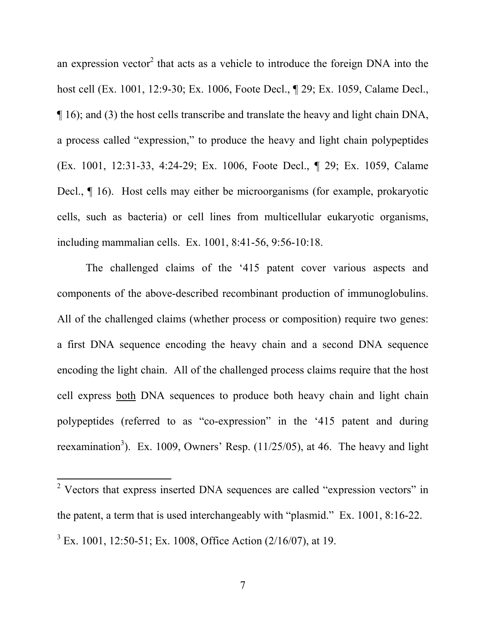an expression vector<sup>2</sup> that acts as a vehicle to introduce the foreign DNA into the host cell (Ex. 1001, 12:9-30; Ex. 1006, Foote Decl., ¶ 29; Ex. 1059, Calame Decl., ¶ 16); and (3) the host cells transcribe and translate the heavy and light chain DNA, a process called "expression," to produce the heavy and light chain polypeptides (Ex. 1001, 12:31-33, 4:24-29; Ex. 1006, Foote Decl., ¶ 29; Ex. 1059, Calame Decl., ¶ 16). Host cells may either be microorganisms (for example, prokaryotic cells, such as bacteria) or cell lines from multicellular eukaryotic organisms, including mammalian cells. Ex. 1001, 8:41-56, 9:56-10:18.

The challenged claims of the '415 patent cover various aspects and components of the above-described recombinant production of immunoglobulins. All of the challenged claims (whether process or composition) require two genes: a first DNA sequence encoding the heavy chain and a second DNA sequence encoding the light chain. All of the challenged process claims require that the host cell express both DNA sequences to produce both heavy chain and light chain polypeptides (referred to as "co-expression" in the '415 patent and during reexamination<sup>3</sup>). Ex. 1009, Owners' Resp.  $(11/25/05)$ , at 46. The heavy and light

 $\overline{a}$ 

<sup>&</sup>lt;sup>2</sup> Vectors that express inserted DNA sequences are called "expression vectors" in the patent, a term that is used interchangeably with "plasmid." Ex. 1001, 8:16-22.  $3$  Ex. 1001, 12:50-51; Ex. 1008, Office Action (2/16/07), at 19.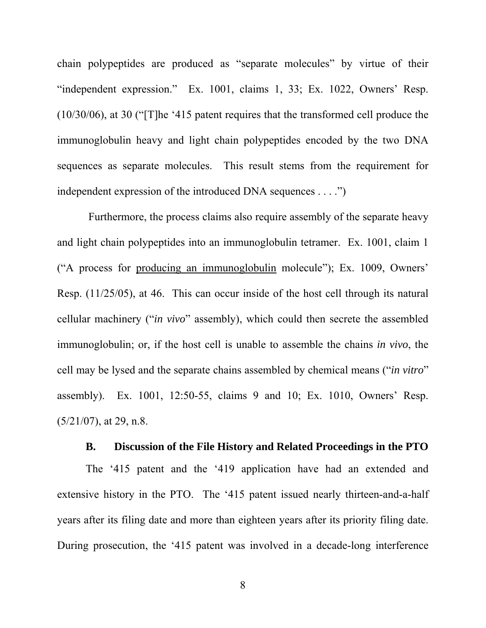chain polypeptides are produced as "separate molecules" by virtue of their "independent expression." Ex. 1001, claims 1, 33; Ex. 1022, Owners' Resp. (10/30/06), at 30 ("[T]he '415 patent requires that the transformed cell produce the immunoglobulin heavy and light chain polypeptides encoded by the two DNA sequences as separate molecules. This result stems from the requirement for independent expression of the introduced DNA sequences . . . .")

 Furthermore, the process claims also require assembly of the separate heavy and light chain polypeptides into an immunoglobulin tetramer. Ex. 1001, claim 1 ("A process for producing an immunoglobulin molecule"); Ex. 1009, Owners' Resp. (11/25/05), at 46. This can occur inside of the host cell through its natural cellular machinery ("*in vivo*" assembly), which could then secrete the assembled immunoglobulin; or, if the host cell is unable to assemble the chains *in vivo*, the cell may be lysed and the separate chains assembled by chemical means ("*in vitro*" assembly). Ex. 1001, 12:50-55, claims 9 and 10; Ex. 1010, Owners' Resp.  $(5/21/07)$ , at 29, n.8.

#### **B. Discussion of the File History and Related Proceedings in the PTO**

The '415 patent and the '419 application have had an extended and extensive history in the PTO. The '415 patent issued nearly thirteen-and-a-half years after its filing date and more than eighteen years after its priority filing date. During prosecution, the '415 patent was involved in a decade-long interference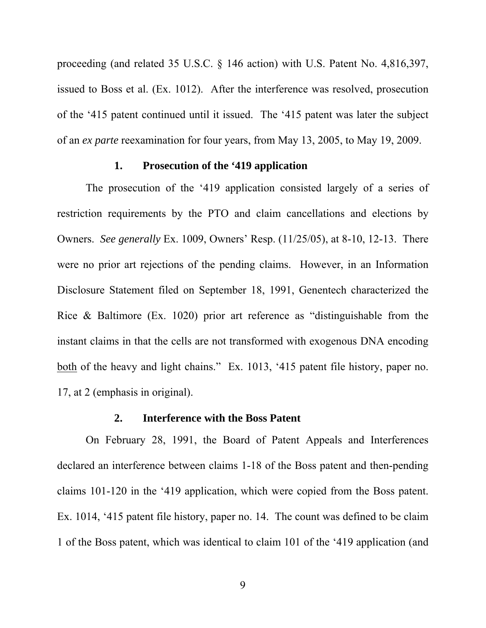proceeding (and related 35 U.S.C. § 146 action) with U.S. Patent No. 4,816,397, issued to Boss et al. (Ex. 1012). After the interference was resolved, prosecution of the '415 patent continued until it issued. The '415 patent was later the subject of an *ex parte* reexamination for four years, from May 13, 2005, to May 19, 2009.

### **1. Prosecution of the '419 application**

The prosecution of the '419 application consisted largely of a series of restriction requirements by the PTO and claim cancellations and elections by Owners. *See generally* Ex. 1009, Owners' Resp. (11/25/05), at 8-10, 12-13. There were no prior art rejections of the pending claims. However, in an Information Disclosure Statement filed on September 18, 1991, Genentech characterized the Rice & Baltimore (Ex. 1020) prior art reference as "distinguishable from the instant claims in that the cells are not transformed with exogenous DNA encoding both of the heavy and light chains." Ex. 1013, '415 patent file history, paper no. 17, at 2 (emphasis in original).

## **2. Interference with the Boss Patent**

On February 28, 1991, the Board of Patent Appeals and Interferences declared an interference between claims 1-18 of the Boss patent and then-pending claims 101-120 in the '419 application, which were copied from the Boss patent. Ex. 1014, '415 patent file history, paper no. 14. The count was defined to be claim 1 of the Boss patent, which was identical to claim 101 of the '419 application (and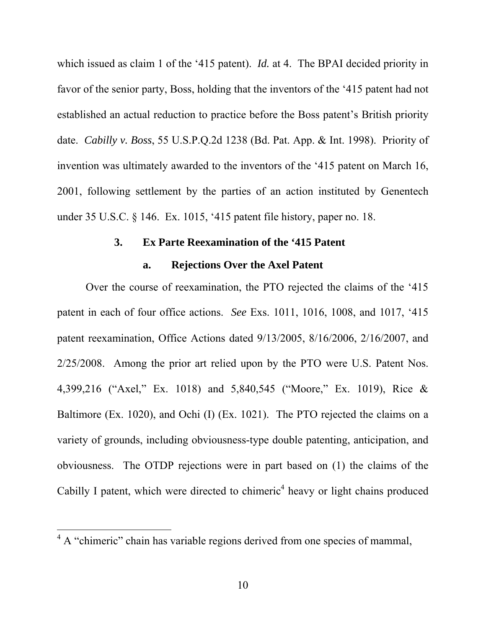which issued as claim 1 of the '415 patent). *Id.* at 4. The BPAI decided priority in favor of the senior party, Boss, holding that the inventors of the '415 patent had not established an actual reduction to practice before the Boss patent's British priority date. *Cabilly v. Boss*, 55 U.S.P.Q.2d 1238 (Bd. Pat. App. & Int. 1998). Priority of invention was ultimately awarded to the inventors of the '415 patent on March 16, 2001, following settlement by the parties of an action instituted by Genentech under 35 U.S.C. § 146. Ex. 1015, '415 patent file history, paper no. 18.

## **3. Ex Parte Reexamination of the '415 Patent**

#### **a. Rejections Over the Axel Patent**

Over the course of reexamination, the PTO rejected the claims of the '415 patent in each of four office actions. *See* Exs. 1011, 1016, 1008, and 1017, '415 patent reexamination, Office Actions dated 9/13/2005, 8/16/2006, 2/16/2007, and 2/25/2008. Among the prior art relied upon by the PTO were U.S. Patent Nos. 4,399,216 ("Axel," Ex. 1018) and 5,840,545 ("Moore," Ex. 1019), Rice & Baltimore (Ex. 1020), and Ochi (I) (Ex. 1021). The PTO rejected the claims on a variety of grounds, including obviousness-type double patenting, anticipation, and obviousness. The OTDP rejections were in part based on (1) the claims of the Cabilly I patent, which were directed to chimeric<sup>4</sup> heavy or light chains produced

 $\overline{a}$ 

 $4 \text{ A}$  "chimeric" chain has variable regions derived from one species of mammal,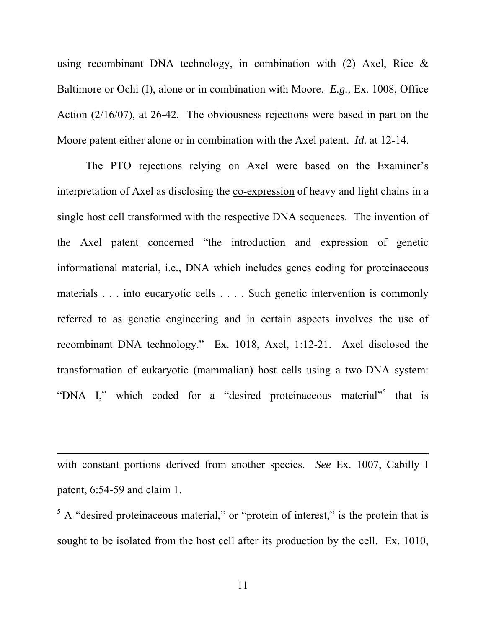using recombinant DNA technology, in combination with  $(2)$  Axel, Rice & Baltimore or Ochi (I), alone or in combination with Moore. *E.g.,* Ex. 1008, Office Action (2/16/07), at 26-42. The obviousness rejections were based in part on the Moore patent either alone or in combination with the Axel patent. *Id.* at 12-14.

The PTO rejections relying on Axel were based on the Examiner's interpretation of Axel as disclosing the co-expression of heavy and light chains in a single host cell transformed with the respective DNA sequences. The invention of the Axel patent concerned "the introduction and expression of genetic informational material, i.e., DNA which includes genes coding for proteinaceous materials . . . into eucaryotic cells . . . . Such genetic intervention is commonly referred to as genetic engineering and in certain aspects involves the use of recombinant DNA technology." Ex. 1018, Axel, 1:12-21. Axel disclosed the transformation of eukaryotic (mammalian) host cells using a two-DNA system: "DNA I," which coded for a "desired proteinaceous material"<sup>5</sup> that is

with constant portions derived from another species. *See* Ex. 1007, Cabilly I patent, 6:54-59 and claim 1.

 $\overline{a}$ 

 $5$  A "desired proteinaceous material," or "protein of interest," is the protein that is sought to be isolated from the host cell after its production by the cell. Ex. 1010,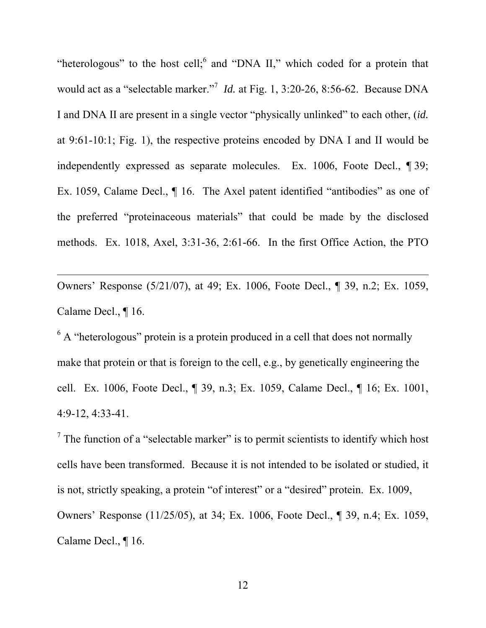"heterologous" to the host cell; and "DNA II," which coded for a protein that would act as a "selectable marker."<sup>7</sup> *Id.* at Fig. 1, 3:20-26, 8:56-62. Because DNA I and DNA II are present in a single vector "physically unlinked" to each other, (*id.*  at 9:61-10:1; Fig. 1), the respective proteins encoded by DNA I and II would be independently expressed as separate molecules. Ex. 1006, Foote Decl., ¶ 39; Ex. 1059, Calame Decl., ¶ 16. The Axel patent identified "antibodies" as one of the preferred "proteinaceous materials" that could be made by the disclosed methods. Ex. 1018, Axel, 3:31-36, 2:61-66. In the first Office Action, the PTO

Owners' Response (5/21/07), at 49; Ex. 1006, Foote Decl., ¶ 39, n.2; Ex. 1059, Calame Decl., ¶ 16.

 $\overline{a}$ 

 $6$  A "heterologous" protein is a protein produced in a cell that does not normally make that protein or that is foreign to the cell, e.g., by genetically engineering the cell. Ex. 1006, Foote Decl., ¶ 39, n.3; Ex. 1059, Calame Decl., ¶ 16; Ex. 1001, 4:9-12, 4:33-41.

 $<sup>7</sup>$  The function of a "selectable marker" is to permit scientists to identify which host</sup> cells have been transformed. Because it is not intended to be isolated or studied, it is not, strictly speaking, a protein "of interest" or a "desired" protein. Ex. 1009, Owners' Response (11/25/05), at 34; Ex. 1006, Foote Decl., ¶ 39, n.4; Ex. 1059, Calame Decl., ¶ 16.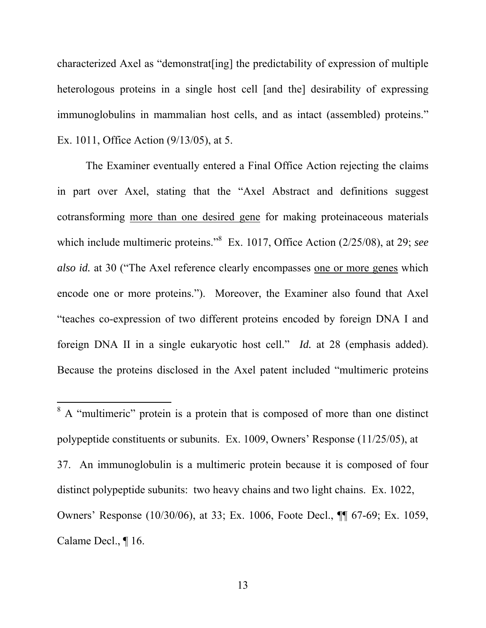characterized Axel as "demonstrat[ing] the predictability of expression of multiple heterologous proteins in a single host cell [and the] desirability of expressing immunoglobulins in mammalian host cells, and as intact (assembled) proteins." Ex. 1011, Office Action (9/13/05), at 5.

The Examiner eventually entered a Final Office Action rejecting the claims in part over Axel, stating that the "Axel Abstract and definitions suggest cotransforming more than one desired gene for making proteinaceous materials which include multimeric proteins."<sup>8</sup> Ex. 1017, Office Action (2/25/08), at 29; *see*  also id. at 30 ("The Axel reference clearly encompasses one or more genes which encode one or more proteins."). Moreover, the Examiner also found that Axel "teaches co-expression of two different proteins encoded by foreign DNA I and foreign DNA II in a single eukaryotic host cell." *Id.* at 28 (emphasis added). Because the proteins disclosed in the Axel patent included "multimeric proteins

 $\overline{a}$ 

<sup>&</sup>lt;sup>8</sup> A "multimeric" protein is a protein that is composed of more than one distinct polypeptide constituents or subunits. Ex. 1009, Owners' Response (11/25/05), at 37. An immunoglobulin is a multimeric protein because it is composed of four distinct polypeptide subunits: two heavy chains and two light chains. Ex. 1022, Owners' Response (10/30/06), at 33; Ex. 1006, Foote Decl., ¶¶ 67-69; Ex. 1059, Calame Decl., ¶ 16.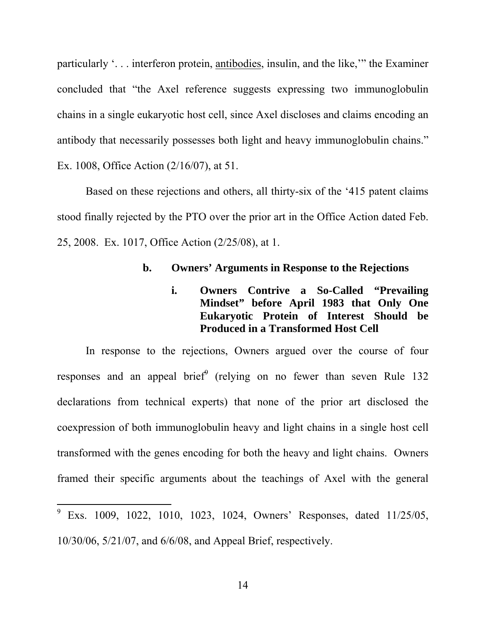particularly '. . . interferon protein, antibodies, insulin, and the like,'" the Examiner concluded that "the Axel reference suggests expressing two immunoglobulin chains in a single eukaryotic host cell, since Axel discloses and claims encoding an antibody that necessarily possesses both light and heavy immunoglobulin chains." Ex. 1008, Office Action (2/16/07), at 51.

Based on these rejections and others, all thirty-six of the '415 patent claims stood finally rejected by the PTO over the prior art in the Office Action dated Feb. 25, 2008. Ex. 1017, Office Action (2/25/08), at 1.

## **b. Owners' Arguments in Response to the Rejections**

# **i. Owners Contrive a So-Called "Prevailing Mindset" before April 1983 that Only One Eukaryotic Protein of Interest Should be Produced in a Transformed Host Cell**

In response to the rejections, Owners argued over the course of four responses and an appeal brief (relying on no fewer than seven Rule 132 declarations from technical experts) that none of the prior art disclosed the coexpression of both immunoglobulin heavy and light chains in a single host cell transformed with the genes encoding for both the heavy and light chains. Owners framed their specific arguments about the teachings of Axel with the general

 $\overline{a}$ 

<sup>9</sup> Exs. 1009, 1022, 1010, 1023, 1024, Owners' Responses, dated 11/25/05, 10/30/06, 5/21/07, and 6/6/08, and Appeal Brief, respectively.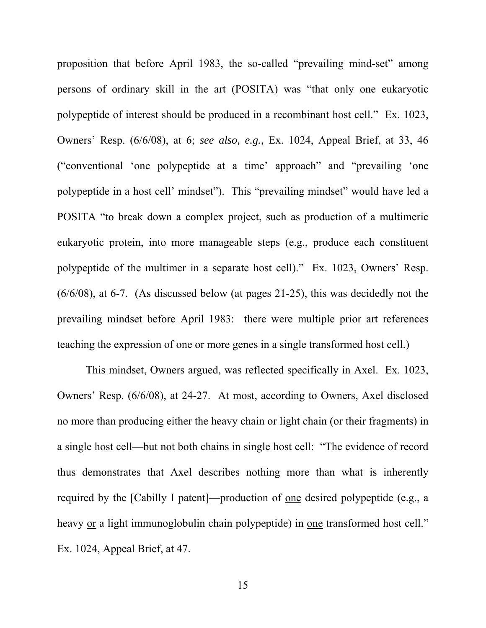proposition that before April 1983, the so-called "prevailing mind-set" among persons of ordinary skill in the art (POSITA) was "that only one eukaryotic polypeptide of interest should be produced in a recombinant host cell." Ex. 1023, Owners' Resp. (6/6/08), at 6; *see also, e.g.,* Ex. 1024, Appeal Brief, at 33, 46 ("conventional 'one polypeptide at a time' approach" and "prevailing 'one polypeptide in a host cell' mindset"). This "prevailing mindset" would have led a POSITA "to break down a complex project, such as production of a multimeric eukaryotic protein, into more manageable steps (e.g., produce each constituent polypeptide of the multimer in a separate host cell)." Ex. 1023, Owners' Resp. (6/6/08), at 6-7. (As discussed below (at pages 21-25), this was decidedly not the prevailing mindset before April 1983: there were multiple prior art references teaching the expression of one or more genes in a single transformed host cell.)

This mindset, Owners argued, was reflected specifically in Axel. Ex. 1023, Owners' Resp. (6/6/08), at 24-27. At most, according to Owners, Axel disclosed no more than producing either the heavy chain or light chain (or their fragments) in a single host cell—but not both chains in single host cell: "The evidence of record thus demonstrates that Axel describes nothing more than what is inherently required by the [Cabilly I patent]—production of one desired polypeptide (e.g., a heavy or a light immunoglobulin chain polypeptide) in one transformed host cell." Ex. 1024, Appeal Brief, at 47.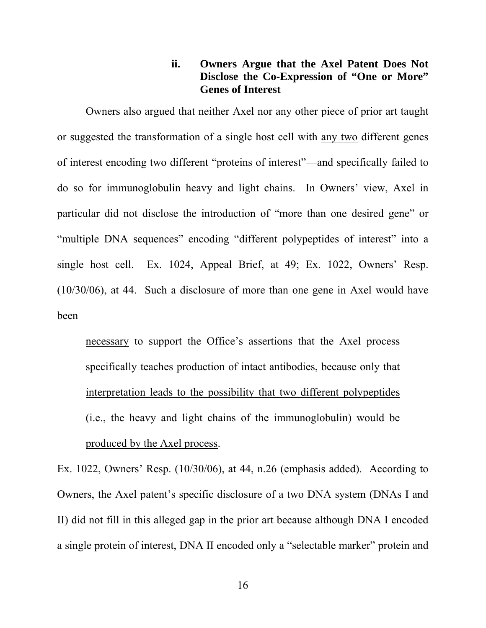## **ii. Owners Argue that the Axel Patent Does Not Disclose the Co-Expression of "One or More" Genes of Interest**

Owners also argued that neither Axel nor any other piece of prior art taught or suggested the transformation of a single host cell with any two different genes of interest encoding two different "proteins of interest"—and specifically failed to do so for immunoglobulin heavy and light chains. In Owners' view, Axel in particular did not disclose the introduction of "more than one desired gene" or "multiple DNA sequences" encoding "different polypeptides of interest" into a single host cell. Ex. 1024, Appeal Brief, at 49; Ex. 1022, Owners' Resp. (10/30/06), at 44. Such a disclosure of more than one gene in Axel would have been

necessary to support the Office's assertions that the Axel process specifically teaches production of intact antibodies, because only that interpretation leads to the possibility that two different polypeptides (i.e., the heavy and light chains of the immunoglobulin) would be produced by the Axel process.

Ex. 1022, Owners' Resp. (10/30/06), at 44, n.26 (emphasis added). According to Owners, the Axel patent's specific disclosure of a two DNA system (DNAs I and II) did not fill in this alleged gap in the prior art because although DNA I encoded a single protein of interest, DNA II encoded only a "selectable marker" protein and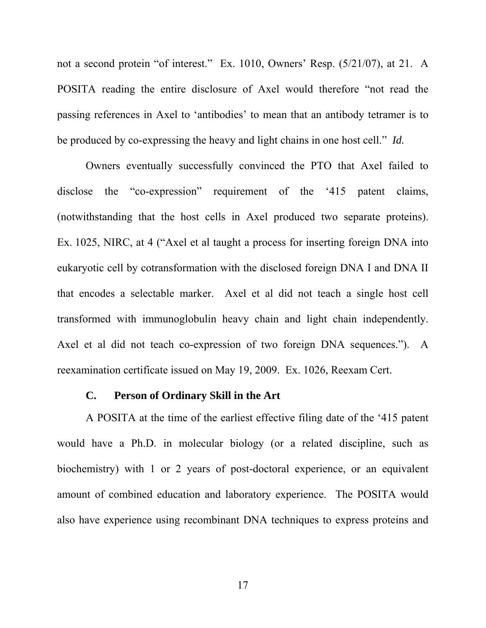not a second protein "of interest." Ex. 1010, Owners' Resp. (5/21/07), at 21. A POSITA reading the entire disclosure of Axel would therefore "not read the passing references in Axel to 'antibodies' to mean that an antibody tetramer is to be produced by co-expressing the heavy and light chains in one host cell." *Id.* 

Owners eventually successfully convinced the PTO that Axel failed to disclose the "co-expression" requirement of the '415 patent claims, (notwithstanding that the host cells in Axel produced two separate proteins). Ex. 1025, NIRC, at 4 ("Axel et al taught a process for inserting foreign DNA into eukaryotic cell by cotransformation with the disclosed foreign DNA I and DNA II that encodes a selectable marker. Axel et al did not teach a single host cell transformed with immunoglobulin heavy chain and light chain independently. Axel et al did not teach co-expression of two foreign DNA sequences."). A reexamination certificate issued on May 19, 2009. Ex. 1026, Reexam Cert.

## **C. Person of Ordinary Skill in the Art**

A POSITA at the time of the earliest effective filing date of the '415 patent would have a Ph.D. in molecular biology (or a related discipline, such as biochemistry) with 1 or 2 years of post-doctoral experience, or an equivalent amount of combined education and laboratory experience. The POSITA would also have experience using recombinant DNA techniques to express proteins and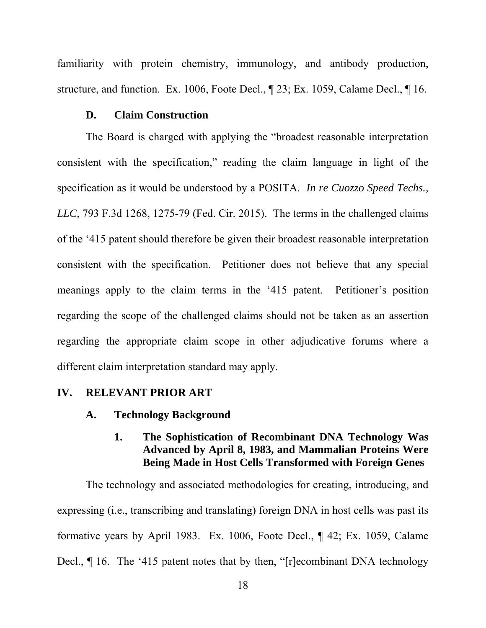familiarity with protein chemistry, immunology, and antibody production, structure, and function. Ex. 1006, Foote Decl., ¶ 23; Ex. 1059, Calame Decl., ¶ 16.

## **D. Claim Construction**

The Board is charged with applying the "broadest reasonable interpretation consistent with the specification," reading the claim language in light of the specification as it would be understood by a POSITA. *In re Cuozzo Speed Techs., LLC*, 793 F.3d 1268, 1275-79 (Fed. Cir. 2015). The terms in the challenged claims of the '415 patent should therefore be given their broadest reasonable interpretation consistent with the specification. Petitioner does not believe that any special meanings apply to the claim terms in the '415 patent. Petitioner's position regarding the scope of the challenged claims should not be taken as an assertion regarding the appropriate claim scope in other adjudicative forums where a different claim interpretation standard may apply.

## **IV. RELEVANT PRIOR ART**

**A. Technology Background** 

# **1. The Sophistication of Recombinant DNA Technology Was Advanced by April 8, 1983, and Mammalian Proteins Were Being Made in Host Cells Transformed with Foreign Genes**

The technology and associated methodologies for creating, introducing, and expressing (i.e., transcribing and translating) foreign DNA in host cells was past its formative years by April 1983. Ex. 1006, Foote Decl., ¶ 42; Ex. 1059, Calame Decl., ¶ 16. The '415 patent notes that by then, "[r]ecombinant DNA technology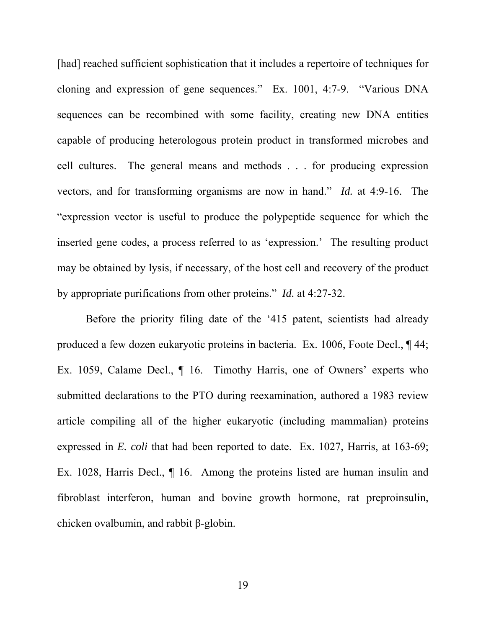[had] reached sufficient sophistication that it includes a repertoire of techniques for cloning and expression of gene sequences." Ex. 1001, 4:7-9. "Various DNA sequences can be recombined with some facility, creating new DNA entities capable of producing heterologous protein product in transformed microbes and cell cultures. The general means and methods . . . for producing expression vectors, and for transforming organisms are now in hand." *Id.* at 4:9-16. The "expression vector is useful to produce the polypeptide sequence for which the inserted gene codes, a process referred to as 'expression.' The resulting product may be obtained by lysis, if necessary, of the host cell and recovery of the product by appropriate purifications from other proteins." *Id.* at 4:27-32.

Before the priority filing date of the '415 patent, scientists had already produced a few dozen eukaryotic proteins in bacteria. Ex. 1006, Foote Decl., ¶ 44; Ex. 1059, Calame Decl.,  $\P$  16. Timothy Harris, one of Owners' experts who submitted declarations to the PTO during reexamination, authored a 1983 review article compiling all of the higher eukaryotic (including mammalian) proteins expressed in *E. coli* that had been reported to date. Ex. 1027, Harris, at 163-69; Ex. 1028, Harris Decl., ¶ 16. Among the proteins listed are human insulin and fibroblast interferon, human and bovine growth hormone, rat preproinsulin, chicken ovalbumin, and rabbit β-globin.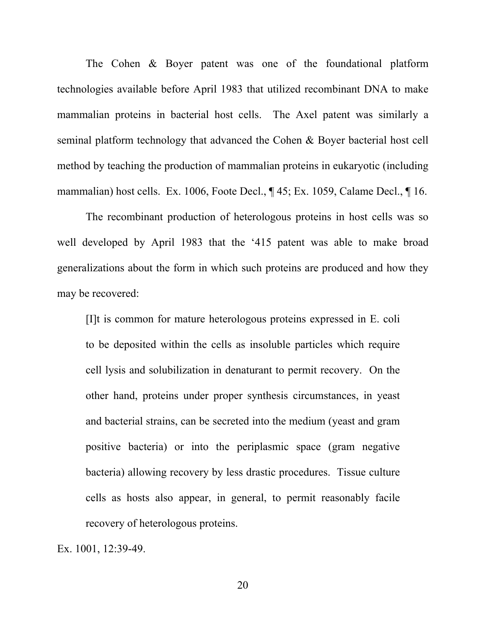The Cohen & Boyer patent was one of the foundational platform technologies available before April 1983 that utilized recombinant DNA to make mammalian proteins in bacterial host cells. The Axel patent was similarly a seminal platform technology that advanced the Cohen & Boyer bacterial host cell method by teaching the production of mammalian proteins in eukaryotic (including mammalian) host cells. Ex. 1006, Foote Decl., ¶ 45; Ex. 1059, Calame Decl., ¶ 16.

The recombinant production of heterologous proteins in host cells was so well developed by April 1983 that the '415 patent was able to make broad generalizations about the form in which such proteins are produced and how they may be recovered:

[I]t is common for mature heterologous proteins expressed in E. coli to be deposited within the cells as insoluble particles which require cell lysis and solubilization in denaturant to permit recovery. On the other hand, proteins under proper synthesis circumstances, in yeast and bacterial strains, can be secreted into the medium (yeast and gram positive bacteria) or into the periplasmic space (gram negative bacteria) allowing recovery by less drastic procedures. Tissue culture cells as hosts also appear, in general, to permit reasonably facile recovery of heterologous proteins.

Ex. 1001, 12:39-49.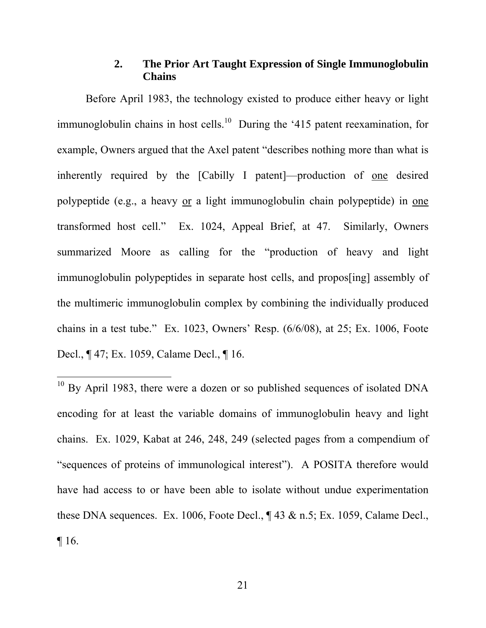## **2. The Prior Art Taught Expression of Single Immunoglobulin Chains**

Before April 1983, the technology existed to produce either heavy or light immunoglobulin chains in host cells.<sup>10</sup> During the '415 patent reexamination, for example, Owners argued that the Axel patent "describes nothing more than what is inherently required by the [Cabilly I patent]—production of one desired polypeptide (e.g., a heavy or a light immunoglobulin chain polypeptide) in one transformed host cell." Ex. 1024, Appeal Brief, at 47. Similarly, Owners summarized Moore as calling for the "production of heavy and light immunoglobulin polypeptides in separate host cells, and propos[ing] assembly of the multimeric immunoglobulin complex by combining the individually produced chains in a test tube." Ex. 1023, Owners' Resp. (6/6/08), at 25; Ex. 1006, Foote Decl., ¶ 47; Ex. 1059, Calame Decl., ¶ 16.

 $10$  By April 1983, there were a dozen or so published sequences of isolated DNA encoding for at least the variable domains of immunoglobulin heavy and light chains. Ex. 1029, Kabat at 246, 248, 249 (selected pages from a compendium of "sequences of proteins of immunological interest"). A POSITA therefore would have had access to or have been able to isolate without undue experimentation these DNA sequences. Ex. 1006, Foote Decl.,  $\P$  43 & n.5; Ex. 1059, Calame Decl., ¶ 16.

 $\overline{a}$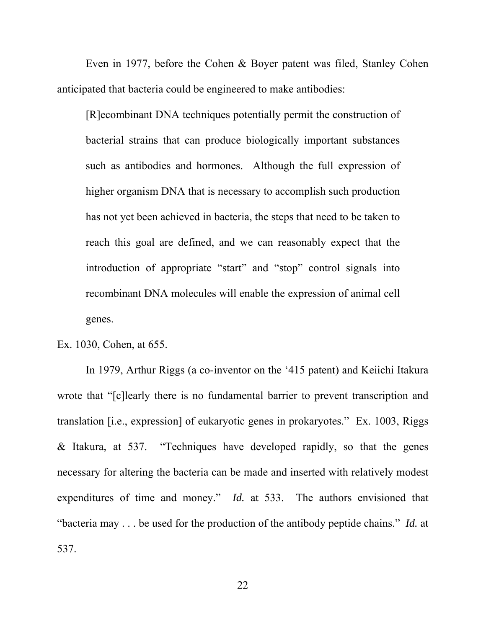Even in 1977, before the Cohen & Boyer patent was filed, Stanley Cohen anticipated that bacteria could be engineered to make antibodies:

[R]ecombinant DNA techniques potentially permit the construction of bacterial strains that can produce biologically important substances such as antibodies and hormones. Although the full expression of higher organism DNA that is necessary to accomplish such production has not yet been achieved in bacteria, the steps that need to be taken to reach this goal are defined, and we can reasonably expect that the introduction of appropriate "start" and "stop" control signals into recombinant DNA molecules will enable the expression of animal cell genes.

Ex. 1030, Cohen, at 655.

In 1979, Arthur Riggs (a co-inventor on the '415 patent) and Keiichi Itakura wrote that "[c]learly there is no fundamental barrier to prevent transcription and translation [i.e., expression] of eukaryotic genes in prokaryotes." Ex. 1003, Riggs & Itakura, at 537. "Techniques have developed rapidly, so that the genes necessary for altering the bacteria can be made and inserted with relatively modest expenditures of time and money." *Id.* at 533. The authors envisioned that "bacteria may . . . be used for the production of the antibody peptide chains." *Id.* at 537.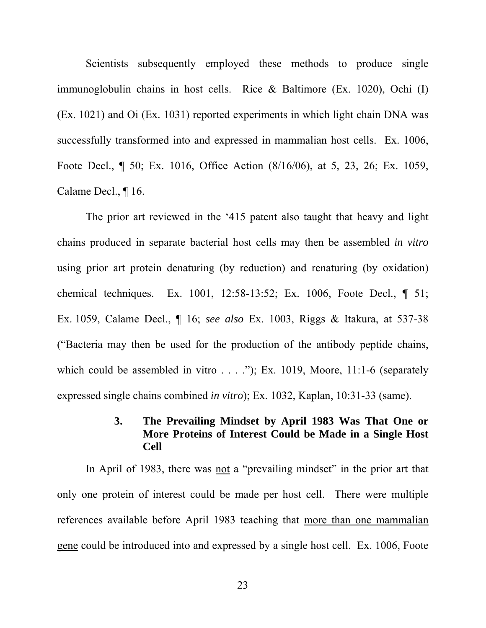Scientists subsequently employed these methods to produce single immunoglobulin chains in host cells. Rice & Baltimore (Ex. 1020), Ochi (I) (Ex. 1021) and Oi (Ex. 1031) reported experiments in which light chain DNA was successfully transformed into and expressed in mammalian host cells. Ex. 1006, Foote Decl., ¶ 50; Ex. 1016, Office Action (8/16/06), at 5, 23, 26; Ex. 1059, Calame Decl., ¶ 16.

The prior art reviewed in the '415 patent also taught that heavy and light chains produced in separate bacterial host cells may then be assembled *in vitro*  using prior art protein denaturing (by reduction) and renaturing (by oxidation) chemical techniques. Ex. 1001, 12:58-13:52; Ex. 1006, Foote Decl., ¶ 51; Ex. 1059, Calame Decl., ¶ 16; *see also* Ex. 1003, Riggs & Itakura, at 537-38 ("Bacteria may then be used for the production of the antibody peptide chains, which could be assembled in vitro  $\dots$ ."); Ex. 1019, Moore, 11:1-6 (separately expressed single chains combined *in vitro*); Ex. 1032, Kaplan, 10:31-33 (same).

# **3. The Prevailing Mindset by April 1983 Was That One or More Proteins of Interest Could be Made in a Single Host Cell**

In April of 1983, there was not a "prevailing mindset" in the prior art that only one protein of interest could be made per host cell. There were multiple references available before April 1983 teaching that more than one mammalian gene could be introduced into and expressed by a single host cell. Ex. 1006, Foote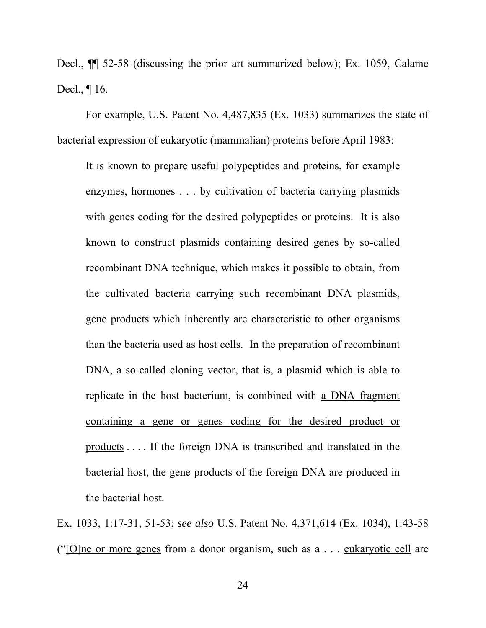Decl., ¶¶ 52-58 (discussing the prior art summarized below); Ex. 1059, Calame Decl., ¶ 16.

For example, U.S. Patent No. 4,487,835 (Ex. 1033) summarizes the state of bacterial expression of eukaryotic (mammalian) proteins before April 1983:

It is known to prepare useful polypeptides and proteins, for example enzymes, hormones . . . by cultivation of bacteria carrying plasmids with genes coding for the desired polypeptides or proteins. It is also known to construct plasmids containing desired genes by so-called recombinant DNA technique, which makes it possible to obtain, from the cultivated bacteria carrying such recombinant DNA plasmids, gene products which inherently are characteristic to other organisms than the bacteria used as host cells. In the preparation of recombinant DNA, a so-called cloning vector, that is, a plasmid which is able to replicate in the host bacterium, is combined with a DNA fragment containing a gene or genes coding for the desired product or products . . . . If the foreign DNA is transcribed and translated in the bacterial host, the gene products of the foreign DNA are produced in the bacterial host.

Ex. 1033, 1:17-31, 51-53; *see also* U.S. Patent No. 4,371,614 (Ex. 1034), 1:43-58 ("[O]ne or more genes from a donor organism, such as a . . . eukaryotic cell are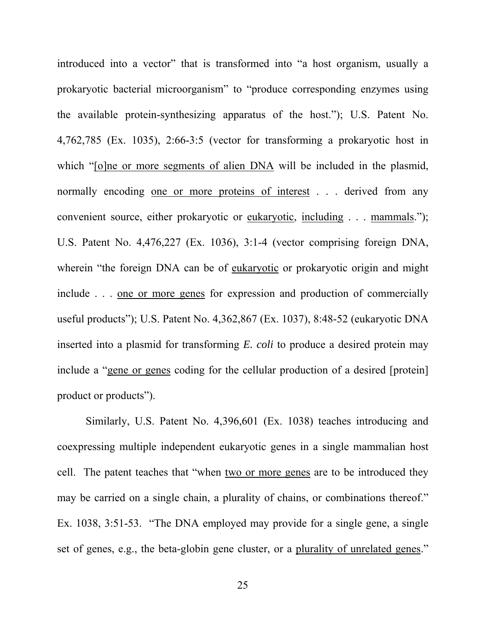introduced into a vector" that is transformed into "a host organism, usually a prokaryotic bacterial microorganism" to "produce corresponding enzymes using the available protein-synthesizing apparatus of the host."); U.S. Patent No. 4,762,785 (Ex. 1035), 2:66-3:5 (vector for transforming a prokaryotic host in which "[o]ne or more segments of alien DNA will be included in the plasmid, normally encoding one or more proteins of interest . . . derived from any convenient source, either prokaryotic or eukaryotic, including . . . mammals."); U.S. Patent No. 4,476,227 (Ex. 1036), 3:1-4 (vector comprising foreign DNA, wherein "the foreign DNA can be of eukaryotic or prokaryotic origin and might include . . . one or more genes for expression and production of commercially useful products"); U.S. Patent No. 4,362,867 (Ex. 1037), 8:48-52 (eukaryotic DNA inserted into a plasmid for transforming *E. coli* to produce a desired protein may include a "gene or genes coding for the cellular production of a desired [protein] product or products").

Similarly, U.S. Patent No. 4,396,601 (Ex. 1038) teaches introducing and coexpressing multiple independent eukaryotic genes in a single mammalian host cell. The patent teaches that "when two or more genes are to be introduced they may be carried on a single chain, a plurality of chains, or combinations thereof." Ex. 1038, 3:51-53. "The DNA employed may provide for a single gene, a single set of genes, e.g., the beta-globin gene cluster, or a plurality of unrelated genes."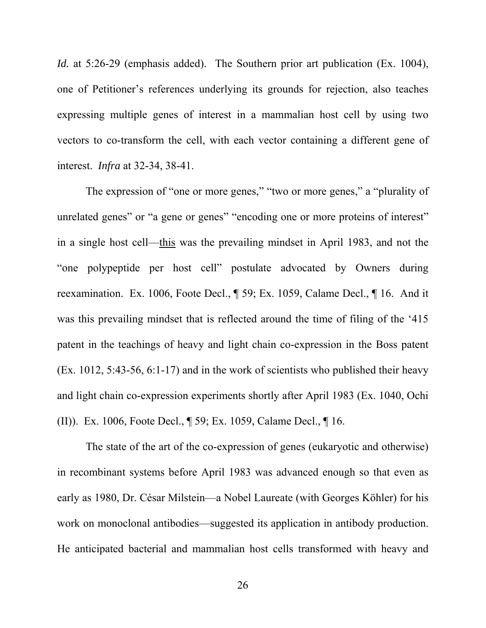*Id.* at 5:26-29 (emphasis added). The Southern prior art publication (Ex. 1004), one of Petitioner's references underlying its grounds for rejection, also teaches expressing multiple genes of interest in a mammalian host cell by using two vectors to co-transform the cell, with each vector containing a different gene of interest. *Infra* at 32-34, 38-41.

The expression of "one or more genes," "two or more genes," a "plurality of unrelated genes" or "a gene or genes" "encoding one or more proteins of interest" in a single host cell—this was the prevailing mindset in April 1983, and not the "one polypeptide per host cell" postulate advocated by Owners during reexamination. Ex. 1006, Foote Decl., ¶ 59; Ex. 1059, Calame Decl., ¶ 16. And it was this prevailing mindset that is reflected around the time of filing of the '415 patent in the teachings of heavy and light chain co-expression in the Boss patent (Ex. 1012, 5:43-56, 6:1-17) and in the work of scientists who published their heavy and light chain co-expression experiments shortly after April 1983 (Ex. 1040, Ochi (II)). Ex. 1006, Foote Decl., ¶ 59; Ex. 1059, Calame Decl., ¶ 16.

The state of the art of the co-expression of genes (eukaryotic and otherwise) in recombinant systems before April 1983 was advanced enough so that even as early as 1980, Dr. César Milstein—a Nobel Laureate (with Georges Köhler) for his work on monoclonal antibodies—suggested its application in antibody production. He anticipated bacterial and mammalian host cells transformed with heavy and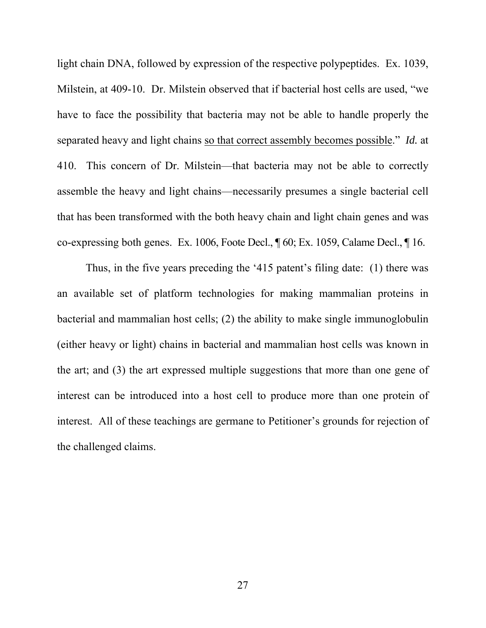light chain DNA, followed by expression of the respective polypeptides. Ex. 1039, Milstein, at 409-10. Dr. Milstein observed that if bacterial host cells are used, "we have to face the possibility that bacteria may not be able to handle properly the separated heavy and light chains so that correct assembly becomes possible." *Id.* at 410. This concern of Dr. Milstein—that bacteria may not be able to correctly assemble the heavy and light chains—necessarily presumes a single bacterial cell that has been transformed with the both heavy chain and light chain genes and was co-expressing both genes. Ex. 1006, Foote Decl., ¶ 60; Ex. 1059, Calame Decl., ¶ 16.

Thus, in the five years preceding the '415 patent's filing date: (1) there was an available set of platform technologies for making mammalian proteins in bacterial and mammalian host cells; (2) the ability to make single immunoglobulin (either heavy or light) chains in bacterial and mammalian host cells was known in the art; and (3) the art expressed multiple suggestions that more than one gene of interest can be introduced into a host cell to produce more than one protein of interest. All of these teachings are germane to Petitioner's grounds for rejection of the challenged claims.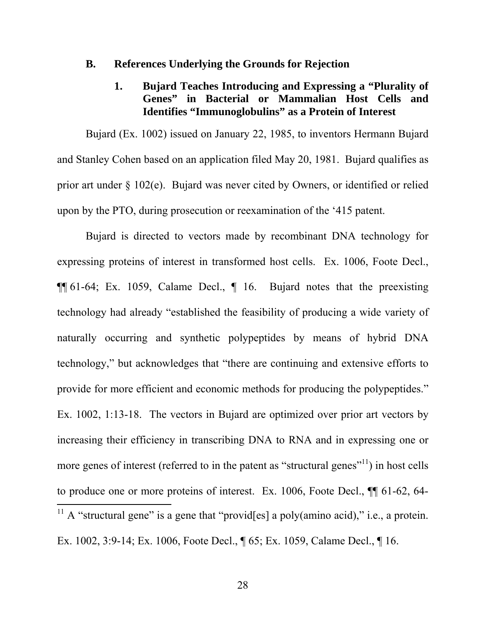#### **B. References Underlying the Grounds for Rejection**

## **1. Bujard Teaches Introducing and Expressing a "Plurality of Genes" in Bacterial or Mammalian Host Cells and Identifies "Immunoglobulins" as a Protein of Interest**

Bujard (Ex. 1002) issued on January 22, 1985, to inventors Hermann Bujard and Stanley Cohen based on an application filed May 20, 1981. Bujard qualifies as prior art under § 102(e). Bujard was never cited by Owners, or identified or relied upon by the PTO, during prosecution or reexamination of the '415 patent.

Bujard is directed to vectors made by recombinant DNA technology for expressing proteins of interest in transformed host cells. Ex. 1006, Foote Decl., ¶¶ 61-64; Ex. 1059, Calame Decl., ¶ 16. Bujard notes that the preexisting technology had already "established the feasibility of producing a wide variety of naturally occurring and synthetic polypeptides by means of hybrid DNA technology," but acknowledges that "there are continuing and extensive efforts to provide for more efficient and economic methods for producing the polypeptides." Ex. 1002, 1:13-18. The vectors in Bujard are optimized over prior art vectors by increasing their efficiency in transcribing DNA to RNA and in expressing one or more genes of interest (referred to in the patent as "structural genes"<sup>11</sup>) in host cells to produce one or more proteins of interest. Ex. 1006, Foote Decl., ¶¶ 61-62, 64-  $\overline{a}$ <sup>11</sup> A "structural gene" is a gene that "provid[es] a poly(amino acid)," i.e., a protein. Ex. 1002, 3:9-14; Ex. 1006, Foote Decl., ¶ 65; Ex. 1059, Calame Decl., ¶ 16.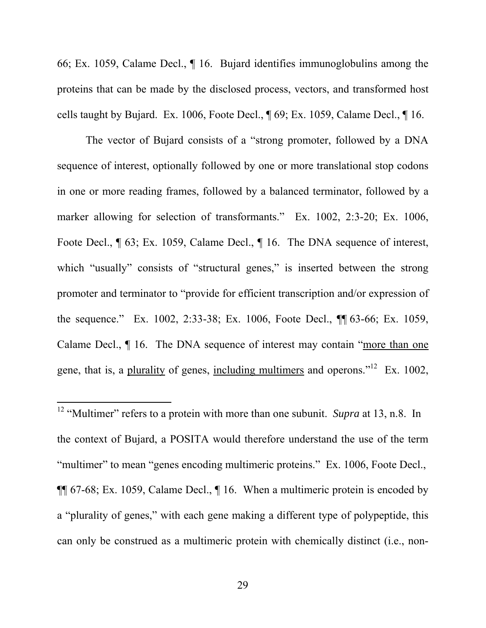66; Ex. 1059, Calame Decl., ¶ 16. Bujard identifies immunoglobulins among the proteins that can be made by the disclosed process, vectors, and transformed host cells taught by Bujard. Ex. 1006, Foote Decl., ¶ 69; Ex. 1059, Calame Decl., ¶ 16.

The vector of Bujard consists of a "strong promoter, followed by a DNA sequence of interest, optionally followed by one or more translational stop codons in one or more reading frames, followed by a balanced terminator, followed by a marker allowing for selection of transformants." Ex. 1002, 2:3-20; Ex. 1006, Foote Decl.,  $\P$  63; Ex. 1059, Calame Decl.,  $\P$  16. The DNA sequence of interest, which "usually" consists of "structural genes," is inserted between the strong promoter and terminator to "provide for efficient transcription and/or expression of the sequence." Ex. 1002, 2:33-38; Ex. 1006, Foote Decl., ¶¶ 63-66; Ex. 1059, Calame Decl., ¶ 16. The DNA sequence of interest may contain "more than one gene, that is, a plurality of genes, including multimers and operons."<sup>12</sup> Ex. 1002,

<sup>12</sup> "Multimer" refers to a protein with more than one subunit. *Supra* at 13, n.8. In the context of Bujard, a POSITA would therefore understand the use of the term "multimer" to mean "genes encoding multimeric proteins." Ex. 1006, Foote Decl., ¶¶ 67-68; Ex. 1059, Calame Decl., ¶ 16. When a multimeric protein is encoded by a "plurality of genes," with each gene making a different type of polypeptide, this can only be construed as a multimeric protein with chemically distinct (i.e., non-

 $\overline{a}$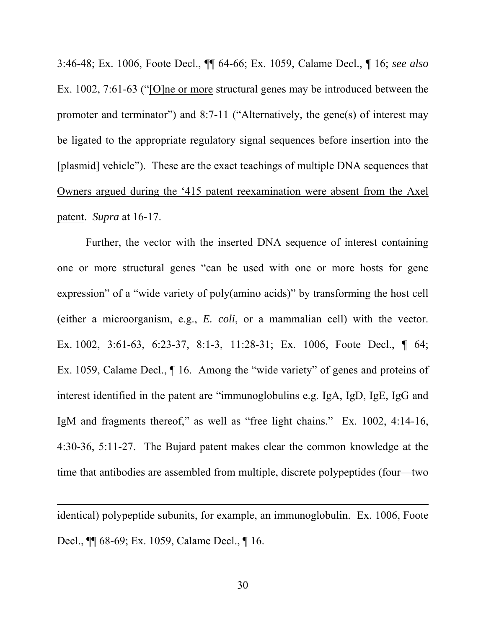3:46-48; Ex. 1006, Foote Decl., ¶¶ 64-66; Ex. 1059, Calame Decl., ¶ 16; *see also*  Ex. 1002, 7:61-63 ("[O]ne or more structural genes may be introduced between the promoter and terminator") and 8:7-11 ("Alternatively, the gene(s) of interest may be ligated to the appropriate regulatory signal sequences before insertion into the [plasmid] vehicle"). These are the exact teachings of multiple DNA sequences that Owners argued during the '415 patent reexamination were absent from the Axel patent. *Supra* at 16-17.

Further, the vector with the inserted DNA sequence of interest containing one or more structural genes "can be used with one or more hosts for gene expression" of a "wide variety of poly(amino acids)" by transforming the host cell (either a microorganism, e.g., *E. coli*, or a mammalian cell) with the vector. Ex. 1002, 3:61-63, 6:23-37, 8:1-3, 11:28-31; Ex. 1006, Foote Decl., ¶ 64; Ex. 1059, Calame Decl., ¶ 16. Among the "wide variety" of genes and proteins of interest identified in the patent are "immunoglobulins e.g. IgA, IgD, IgE, IgG and IgM and fragments thereof," as well as "free light chains." Ex. 1002, 4:14-16, 4:30-36, 5:11-27. The Bujard patent makes clear the common knowledge at the time that antibodies are assembled from multiple, discrete polypeptides (four—two

identical) polypeptide subunits, for example, an immunoglobulin. Ex. 1006, Foote Decl., ¶¶ 68-69; Ex. 1059, Calame Decl., ¶ 16.

 $\overline{a}$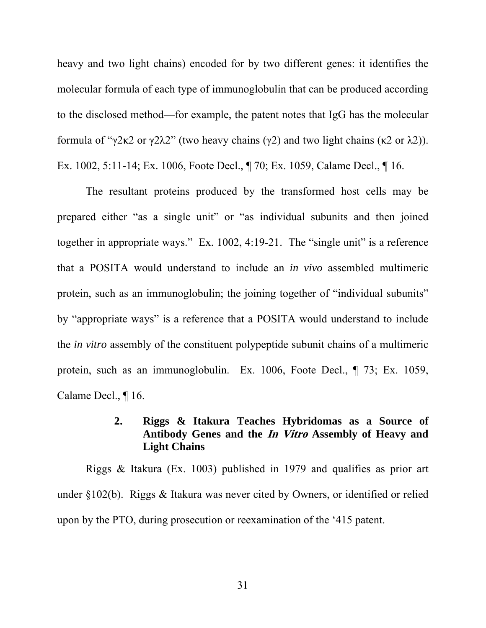heavy and two light chains) encoded for by two different genes: it identifies the molecular formula of each type of immunoglobulin that can be produced according to the disclosed method—for example, the patent notes that IgG has the molecular formula of "γ2κ2 or γ2λ2" (two heavy chains (γ2) and two light chains (κ2 or λ2)). Ex. 1002, 5:11-14; Ex. 1006, Foote Decl., ¶ 70; Ex. 1059, Calame Decl., ¶ 16.

The resultant proteins produced by the transformed host cells may be prepared either "as a single unit" or "as individual subunits and then joined together in appropriate ways." Ex. 1002, 4:19-21. The "single unit" is a reference that a POSITA would understand to include an *in vivo* assembled multimeric protein, such as an immunoglobulin; the joining together of "individual subunits" by "appropriate ways" is a reference that a POSITA would understand to include the *in vitro* assembly of the constituent polypeptide subunit chains of a multimeric protein, such as an immunoglobulin. Ex. 1006, Foote Decl., ¶ 73; Ex. 1059, Calame Decl., ¶ 16.

# **2. Riggs & Itakura Teaches Hybridomas as a Source of Antibody Genes and the In Vitro Assembly of Heavy and Light Chains**

Riggs & Itakura (Ex. 1003) published in 1979 and qualifies as prior art under §102(b). Riggs & Itakura was never cited by Owners, or identified or relied upon by the PTO, during prosecution or reexamination of the '415 patent.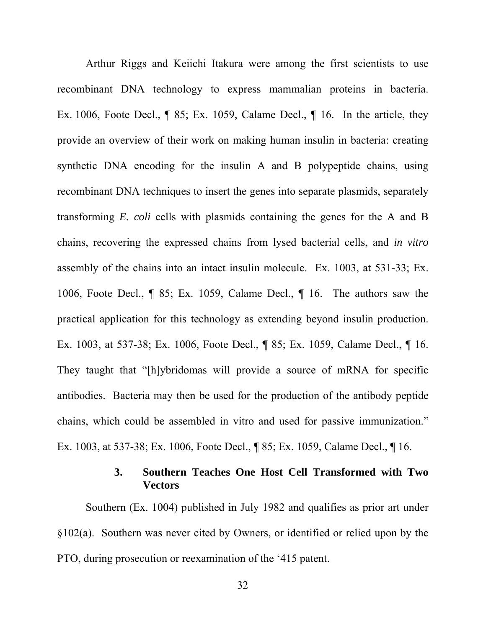Arthur Riggs and Keiichi Itakura were among the first scientists to use recombinant DNA technology to express mammalian proteins in bacteria. Ex. 1006, Foote Decl., ¶ 85; Ex. 1059, Calame Decl., ¶ 16. In the article, they provide an overview of their work on making human insulin in bacteria: creating synthetic DNA encoding for the insulin A and B polypeptide chains, using recombinant DNA techniques to insert the genes into separate plasmids, separately transforming *E. coli* cells with plasmids containing the genes for the A and B chains, recovering the expressed chains from lysed bacterial cells, and *in vitro*  assembly of the chains into an intact insulin molecule. Ex. 1003, at 531-33; Ex. 1006, Foote Decl., ¶ 85; Ex. 1059, Calame Decl., ¶ 16. The authors saw the practical application for this technology as extending beyond insulin production. Ex. 1003, at 537-38; Ex. 1006, Foote Decl., ¶ 85; Ex. 1059, Calame Decl., ¶ 16. They taught that "[h]ybridomas will provide a source of mRNA for specific antibodies. Bacteria may then be used for the production of the antibody peptide chains, which could be assembled in vitro and used for passive immunization." Ex. 1003, at 537-38; Ex. 1006, Foote Decl., ¶ 85; Ex. 1059, Calame Decl., ¶ 16.

# **3. Southern Teaches One Host Cell Transformed with Two Vectors**

Southern (Ex. 1004) published in July 1982 and qualifies as prior art under §102(a). Southern was never cited by Owners, or identified or relied upon by the PTO, during prosecution or reexamination of the '415 patent.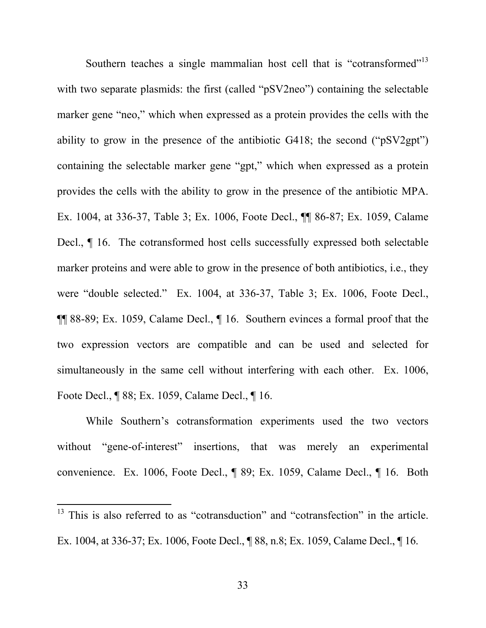Southern teaches a single mammalian host cell that is "cotransformed"<sup>13</sup> with two separate plasmids: the first (called "pSV2neo") containing the selectable marker gene "neo," which when expressed as a protein provides the cells with the ability to grow in the presence of the antibiotic G418; the second ("pSV2gpt") containing the selectable marker gene "gpt," which when expressed as a protein provides the cells with the ability to grow in the presence of the antibiotic MPA. Ex. 1004, at 336-37, Table 3; Ex. 1006, Foote Decl., ¶¶ 86-87; Ex. 1059, Calame Decl., ¶ 16. The cotransformed host cells successfully expressed both selectable marker proteins and were able to grow in the presence of both antibiotics, i.e., they were "double selected." Ex. 1004, at 336-37, Table 3; Ex. 1006, Foote Decl., ¶¶ 88-89; Ex. 1059, Calame Decl., ¶ 16. Southern evinces a formal proof that the two expression vectors are compatible and can be used and selected for simultaneously in the same cell without interfering with each other. Ex. 1006, Foote Decl., ¶ 88; Ex. 1059, Calame Decl., ¶ 16.

While Southern's cotransformation experiments used the two vectors without "gene-of-interest" insertions, that was merely an experimental convenience. Ex. 1006, Foote Decl., ¶ 89; Ex. 1059, Calame Decl., ¶ 16. Both

 $\overline{a}$ 

<sup>&</sup>lt;sup>13</sup> This is also referred to as "cotransduction" and "cotransfection" in the article. Ex. 1004, at 336-37; Ex. 1006, Foote Decl., ¶ 88, n.8; Ex. 1059, Calame Decl., ¶ 16.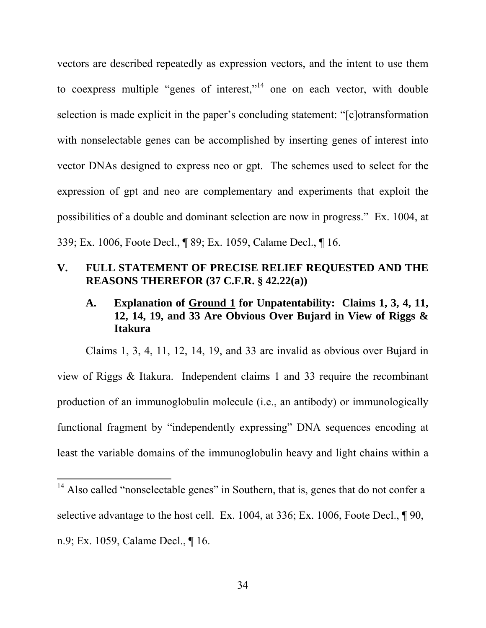vectors are described repeatedly as expression vectors, and the intent to use them to coexpress multiple "genes of interest,"14 one on each vector, with double selection is made explicit in the paper's concluding statement: "[c]otransformation with nonselectable genes can be accomplished by inserting genes of interest into vector DNAs designed to express neo or gpt. The schemes used to select for the expression of gpt and neo are complementary and experiments that exploit the possibilities of a double and dominant selection are now in progress." Ex. 1004, at 339; Ex. 1006, Foote Decl., ¶ 89; Ex. 1059, Calame Decl., ¶ 16.

# **V. FULL STATEMENT OF PRECISE RELIEF REQUESTED AND THE REASONS THEREFOR (37 C.F.R. § 42.22(a))**

# **A. Explanation of Ground 1 for Unpatentability: Claims 1, 3, 4, 11, 12, 14, 19, and 33 Are Obvious Over Bujard in View of Riggs & Itakura**

Claims 1, 3, 4, 11, 12, 14, 19, and 33 are invalid as obvious over Bujard in view of Riggs & Itakura. Independent claims 1 and 33 require the recombinant production of an immunoglobulin molecule (i.e., an antibody) or immunologically functional fragment by "independently expressing" DNA sequences encoding at least the variable domains of the immunoglobulin heavy and light chains within a

 $\overline{a}$ 

<sup>&</sup>lt;sup>14</sup> Also called "nonselectable genes" in Southern, that is, genes that do not confer a selective advantage to the host cell. Ex. 1004, at 336; Ex. 1006, Foote Decl.,  $\parallel$  90, n.9; Ex. 1059, Calame Decl., ¶ 16.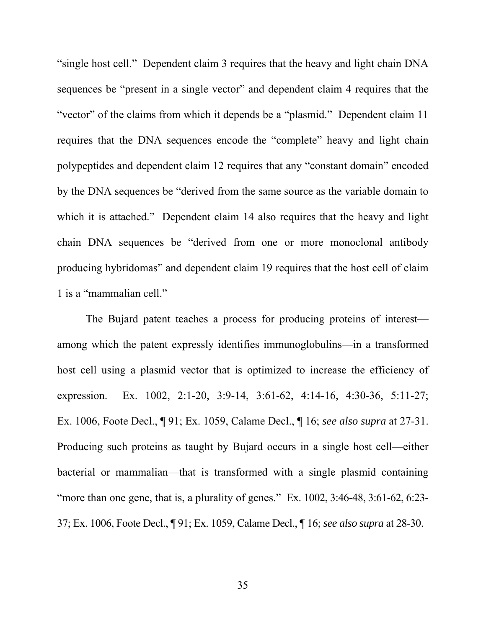"single host cell." Dependent claim 3 requires that the heavy and light chain DNA sequences be "present in a single vector" and dependent claim 4 requires that the "vector" of the claims from which it depends be a "plasmid." Dependent claim 11 requires that the DNA sequences encode the "complete" heavy and light chain polypeptides and dependent claim 12 requires that any "constant domain" encoded by the DNA sequences be "derived from the same source as the variable domain to which it is attached." Dependent claim 14 also requires that the heavy and light chain DNA sequences be "derived from one or more monoclonal antibody producing hybridomas" and dependent claim 19 requires that the host cell of claim 1 is a "mammalian cell."

The Bujard patent teaches a process for producing proteins of interest among which the patent expressly identifies immunoglobulins—in a transformed host cell using a plasmid vector that is optimized to increase the efficiency of expression. Ex. 1002, 2:1-20, 3:9-14, 3:61-62, 4:14-16, 4:30-36, 5:11-27; Ex. 1006, Foote Decl., ¶ 91; Ex. 1059, Calame Decl., ¶ 16; *see also supra* at 27-31. Producing such proteins as taught by Bujard occurs in a single host cell—either bacterial or mammalian—that is transformed with a single plasmid containing "more than one gene, that is, a plurality of genes." Ex.  $1002$ ,  $3:46-48$ ,  $3:61-62$ ,  $6:23-$ 37; Ex. 1006, Foote Decl., ¶ 91; Ex. 1059, Calame Decl., ¶ 16; *see also supra* at 28-30.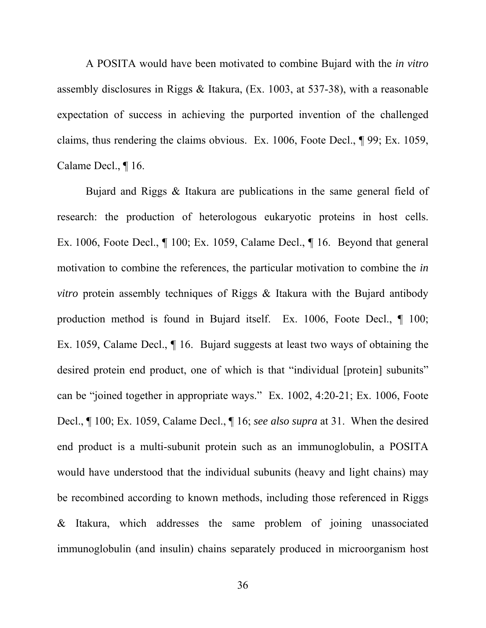A POSITA would have been motivated to combine Bujard with the *in vitro*  assembly disclosures in Riggs & Itakura, (Ex. 1003, at 537-38), with a reasonable expectation of success in achieving the purported invention of the challenged claims, thus rendering the claims obvious. Ex. 1006, Foote Decl., ¶ 99; Ex. 1059, Calame Decl., ¶ 16.

Bujard and Riggs & Itakura are publications in the same general field of research: the production of heterologous eukaryotic proteins in host cells. Ex. 1006, Foote Decl., ¶ 100; Ex. 1059, Calame Decl., ¶ 16. Beyond that general motivation to combine the references, the particular motivation to combine the *in vitro* protein assembly techniques of Riggs & Itakura with the Bujard antibody production method is found in Bujard itself. Ex. 1006, Foote Decl., ¶ 100; Ex. 1059, Calame Decl., ¶ 16.Bujard suggests at least two ways of obtaining the desired protein end product, one of which is that "individual [protein] subunits" can be "joined together in appropriate ways." Ex. 1002, 4:20-21; Ex. 1006, Foote Decl., ¶ 100; Ex. 1059, Calame Decl., ¶ 16; *see also supra* at 31. When the desired end product is a multi-subunit protein such as an immunoglobulin, a POSITA would have understood that the individual subunits (heavy and light chains) may be recombined according to known methods, including those referenced in Riggs & Itakura, which addresses the same problem of joining unassociated immunoglobulin (and insulin) chains separately produced in microorganism host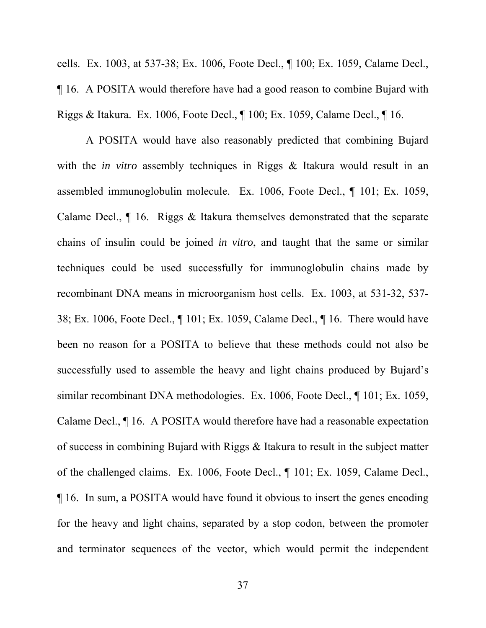cells. Ex. 1003, at 537-38; Ex. 1006, Foote Decl., ¶ 100; Ex. 1059, Calame Decl., ¶ 16. A POSITA would therefore have had a good reason to combine Bujard with Riggs & Itakura. Ex. 1006, Foote Decl., ¶ 100; Ex. 1059, Calame Decl., ¶ 16.

A POSITA would have also reasonably predicted that combining Bujard with the *in vitro* assembly techniques in Riggs & Itakura would result in an assembled immunoglobulin molecule. Ex. 1006, Foote Decl., ¶ 101; Ex. 1059, Calame Decl., ¶ 16. Riggs & Itakura themselves demonstrated that the separate chains of insulin could be joined *in vitro*, and taught that the same or similar techniques could be used successfully for immunoglobulin chains made by recombinant DNA means in microorganism host cells. Ex. 1003, at 531-32, 537- 38; Ex. 1006, Foote Decl., ¶ 101; Ex. 1059, Calame Decl., ¶ 16. There would have been no reason for a POSITA to believe that these methods could not also be successfully used to assemble the heavy and light chains produced by Bujard's similar recombinant DNA methodologies. Ex. 1006, Foote Decl., ¶ 101; Ex. 1059, Calame Decl., ¶ 16. A POSITA would therefore have had a reasonable expectation of success in combining Bujard with Riggs & Itakura to result in the subject matter of the challenged claims. Ex. 1006, Foote Decl., ¶ 101; Ex. 1059, Calame Decl., ¶ 16.In sum, a POSITA would have found it obvious to insert the genes encoding for the heavy and light chains, separated by a stop codon, between the promoter and terminator sequences of the vector, which would permit the independent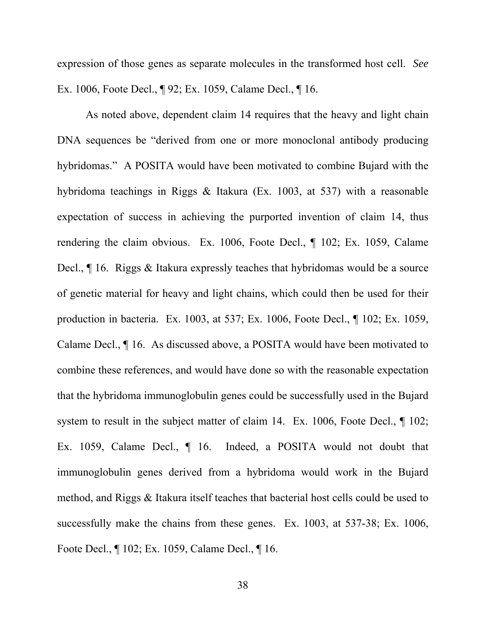expression of those genes as separate molecules in the transformed host cell. *See*  Ex. 1006, Foote Decl., ¶ 92; Ex. 1059, Calame Decl., ¶ 16.

As noted above, dependent claim 14 requires that the heavy and light chain DNA sequences be "derived from one or more monoclonal antibody producing hybridomas." A POSITA would have been motivated to combine Bujard with the hybridoma teachings in Riggs & Itakura (Ex. 1003, at 537) with a reasonable expectation of success in achieving the purported invention of claim 14, thus rendering the claim obvious. Ex. 1006, Foote Decl., ¶ 102; Ex. 1059, Calame Decl., ¶ 16. Riggs & Itakura expressly teaches that hybridomas would be a source of genetic material for heavy and light chains, which could then be used for their production in bacteria. Ex. 1003, at 537; Ex. 1006, Foote Decl., ¶ 102; Ex. 1059, Calame Decl., ¶ 16. As discussed above, a POSITA would have been motivated to combine these references, and would have done so with the reasonable expectation that the hybridoma immunoglobulin genes could be successfully used in the Bujard system to result in the subject matter of claim 14. Ex. 1006, Foote Decl.,  $\P$  102; Ex. 1059, Calame Decl.,  $\P$  16. Indeed, a POSITA would not doubt that immunoglobulin genes derived from a hybridoma would work in the Bujard method, and Riggs & Itakura itself teaches that bacterial host cells could be used to successfully make the chains from these genes. Ex. 1003, at 537-38; Ex. 1006, Foote Decl., ¶ 102; Ex. 1059, Calame Decl., ¶ 16.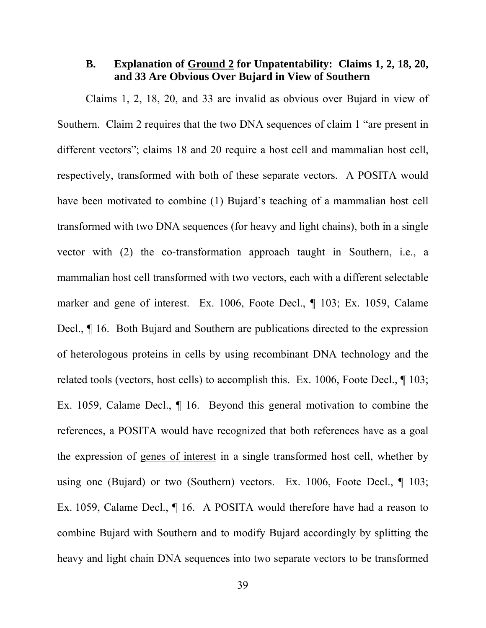# **B. Explanation of Ground 2 for Unpatentability: Claims 1, 2, 18, 20, and 33 Are Obvious Over Bujard in View of Southern**

Claims 1, 2, 18, 20, and 33 are invalid as obvious over Bujard in view of Southern. Claim 2 requires that the two DNA sequences of claim 1 "are present in different vectors"; claims 18 and 20 require a host cell and mammalian host cell, respectively, transformed with both of these separate vectors. A POSITA would have been motivated to combine (1) Bujard's teaching of a mammalian host cell transformed with two DNA sequences (for heavy and light chains), both in a single vector with (2) the co-transformation approach taught in Southern, i.e., a mammalian host cell transformed with two vectors, each with a different selectable marker and gene of interest. Ex. 1006, Foote Decl., ¶ 103; Ex. 1059, Calame Decl., ¶ 16. Both Bujard and Southern are publications directed to the expression of heterologous proteins in cells by using recombinant DNA technology and the related tools (vectors, host cells) to accomplish this. Ex. 1006, Foote Decl., ¶ 103; Ex. 1059, Calame Decl.,  $\P$  16. Beyond this general motivation to combine the references, a POSITA would have recognized that both references have as a goal the expression of genes of interest in a single transformed host cell, whether by using one (Bujard) or two (Southern) vectors. Ex. 1006, Foote Decl., ¶ 103; Ex. 1059, Calame Decl., ¶ 16.A POSITA would therefore have had a reason to combine Bujard with Southern and to modify Bujard accordingly by splitting the heavy and light chain DNA sequences into two separate vectors to be transformed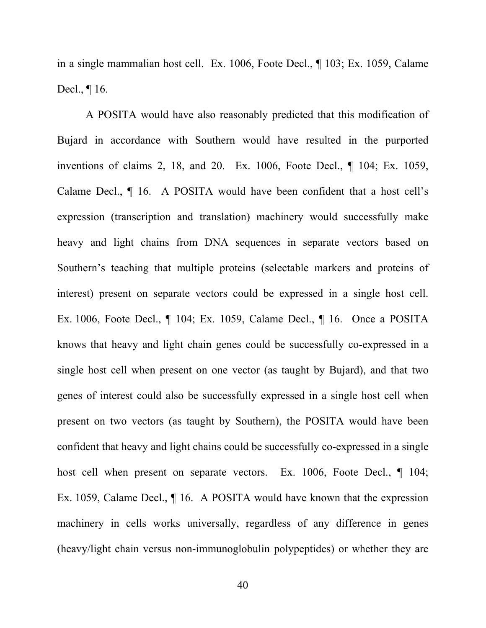in a single mammalian host cell. Ex. 1006, Foote Decl., ¶ 103; Ex. 1059, Calame Decl., ¶ 16.

A POSITA would have also reasonably predicted that this modification of Bujard in accordance with Southern would have resulted in the purported inventions of claims 2, 18, and 20. Ex. 1006, Foote Decl., ¶ 104; Ex. 1059, Calame Decl., ¶ 16. A POSITA would have been confident that a host cell's expression (transcription and translation) machinery would successfully make heavy and light chains from DNA sequences in separate vectors based on Southern's teaching that multiple proteins (selectable markers and proteins of interest) present on separate vectors could be expressed in a single host cell. Ex. 1006, Foote Decl., ¶ 104; Ex. 1059, Calame Decl., ¶ 16.Once a POSITA knows that heavy and light chain genes could be successfully co-expressed in a single host cell when present on one vector (as taught by Bujard), and that two genes of interest could also be successfully expressed in a single host cell when present on two vectors (as taught by Southern), the POSITA would have been confident that heavy and light chains could be successfully co-expressed in a single host cell when present on separate vectors. Ex. 1006, Foote Decl.,  $\P$  104; Ex. 1059, Calame Decl., ¶ 16.A POSITA would have known that the expression machinery in cells works universally, regardless of any difference in genes (heavy/light chain versus non-immunoglobulin polypeptides) or whether they are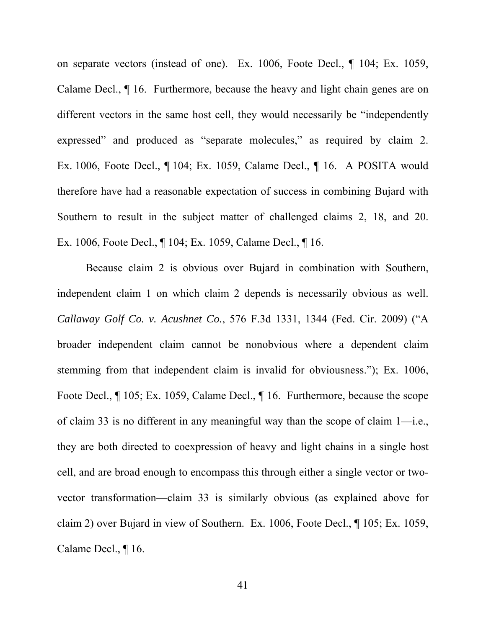on separate vectors (instead of one). Ex. 1006, Foote Decl., ¶ 104; Ex. 1059, Calame Decl., ¶ 16.Furthermore, because the heavy and light chain genes are on different vectors in the same host cell, they would necessarily be "independently expressed" and produced as "separate molecules," as required by claim 2. Ex. 1006, Foote Decl., ¶ 104; Ex. 1059, Calame Decl., ¶ 16.A POSITA would therefore have had a reasonable expectation of success in combining Bujard with Southern to result in the subject matter of challenged claims 2, 18, and 20. Ex. 1006, Foote Decl., ¶ 104; Ex. 1059, Calame Decl., ¶ 16.

Because claim 2 is obvious over Bujard in combination with Southern, independent claim 1 on which claim 2 depends is necessarily obvious as well. *Callaway Golf Co. v. Acushnet Co.*, 576 F.3d 1331, 1344 (Fed. Cir. 2009) ("A broader independent claim cannot be nonobvious where a dependent claim stemming from that independent claim is invalid for obviousness."); Ex. 1006, Foote Decl., ¶ 105; Ex. 1059, Calame Decl., ¶ 16. Furthermore, because the scope of claim 33 is no different in any meaningful way than the scope of claim 1—i.e., they are both directed to coexpression of heavy and light chains in a single host cell, and are broad enough to encompass this through either a single vector or twovector transformation—claim 33 is similarly obvious (as explained above for claim 2) over Bujard in view of Southern. Ex. 1006, Foote Decl., ¶ 105; Ex. 1059, Calame Decl., ¶ 16.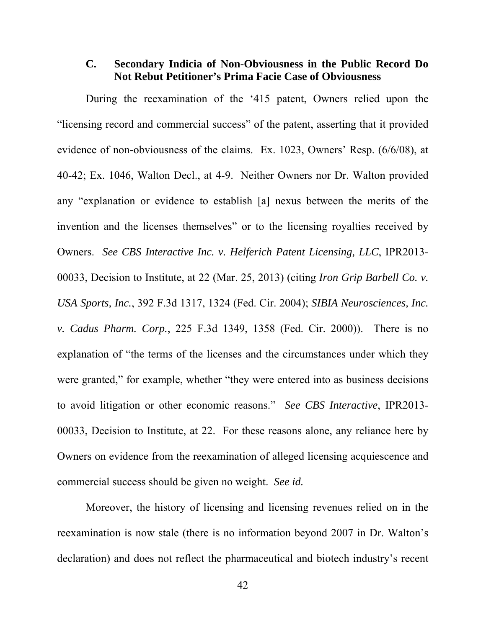## **C. Secondary Indicia of Non-Obviousness in the Public Record Do Not Rebut Petitioner's Prima Facie Case of Obviousness**

During the reexamination of the '415 patent, Owners relied upon the "licensing record and commercial success" of the patent, asserting that it provided evidence of non-obviousness of the claims. Ex. 1023, Owners' Resp. (6/6/08), at 40-42; Ex. 1046, Walton Decl., at 4-9. Neither Owners nor Dr. Walton provided any "explanation or evidence to establish [a] nexus between the merits of the invention and the licenses themselves" or to the licensing royalties received by Owners. *See CBS Interactive Inc. v. Helferich Patent Licensing, LLC*, IPR2013- 00033, Decision to Institute, at 22 (Mar. 25, 2013) (citing *Iron Grip Barbell Co. v. USA Sports, Inc.*, 392 F.3d 1317, 1324 (Fed. Cir. 2004); *SIBIA Neurosciences, Inc. v. Cadus Pharm. Corp.*, 225 F.3d 1349, 1358 (Fed. Cir. 2000)). There is no explanation of "the terms of the licenses and the circumstances under which they were granted," for example, whether "they were entered into as business decisions" to avoid litigation or other economic reasons." *See CBS Interactive*, IPR2013- 00033, Decision to Institute, at 22. For these reasons alone, any reliance here by Owners on evidence from the reexamination of alleged licensing acquiescence and commercial success should be given no weight. *See id.*

Moreover, the history of licensing and licensing revenues relied on in the reexamination is now stale (there is no information beyond 2007 in Dr. Walton's declaration) and does not reflect the pharmaceutical and biotech industry's recent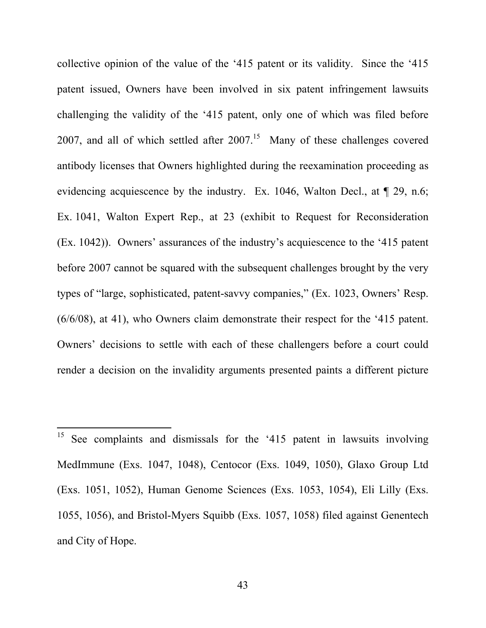collective opinion of the value of the '415 patent or its validity. Since the '415 patent issued, Owners have been involved in six patent infringement lawsuits challenging the validity of the '415 patent, only one of which was filed before 2007, and all of which settled after  $2007<sup>15</sup>$  Many of these challenges covered antibody licenses that Owners highlighted during the reexamination proceeding as evidencing acquiescence by the industry. Ex. 1046, Walton Decl., at  $\P$  29, n.6; Ex. 1041, Walton Expert Rep., at 23 (exhibit to Request for Reconsideration (Ex. 1042)). Owners' assurances of the industry's acquiescence to the '415 patent before 2007 cannot be squared with the subsequent challenges brought by the very types of "large, sophisticated, patent-savvy companies," (Ex. 1023, Owners' Resp. (6/6/08), at 41), who Owners claim demonstrate their respect for the '415 patent. Owners' decisions to settle with each of these challengers before a court could render a decision on the invalidity arguments presented paints a different picture

 $\overline{a}$ 

<sup>&</sup>lt;sup>15</sup> See complaints and dismissals for the '415 patent in lawsuits involving MedImmune (Exs. 1047, 1048), Centocor (Exs. 1049, 1050), Glaxo Group Ltd (Exs. 1051, 1052), Human Genome Sciences (Exs. 1053, 1054), Eli Lilly (Exs. 1055, 1056), and Bristol-Myers Squibb (Exs. 1057, 1058) filed against Genentech and City of Hope.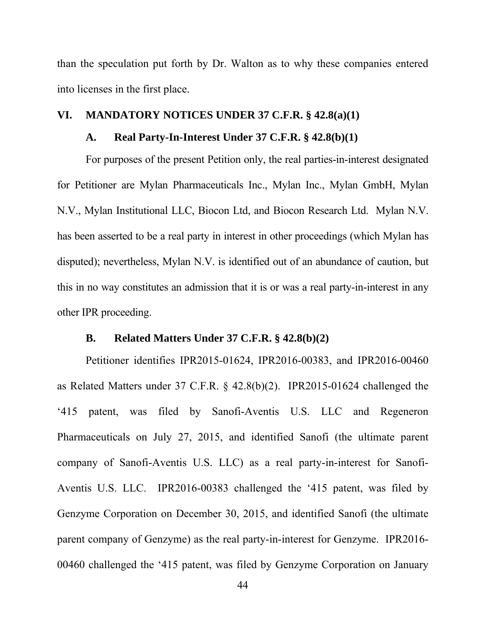than the speculation put forth by Dr. Walton as to why these companies entered into licenses in the first place.

## **VI. MANDATORY NOTICES UNDER 37 C.F.R. § 42.8(a)(1)**

### **A. Real Party-In-Interest Under 37 C.F.R. § 42.8(b)(1)**

For purposes of the present Petition only, the real parties-in-interest designated for Petitioner are Mylan Pharmaceuticals Inc., Mylan Inc., Mylan GmbH, Mylan N.V., Mylan Institutional LLC, Biocon Ltd, and Biocon Research Ltd. Mylan N.V. has been asserted to be a real party in interest in other proceedings (which Mylan has disputed); nevertheless, Mylan N.V. is identified out of an abundance of caution, but this in no way constitutes an admission that it is or was a real party-in-interest in any other IPR proceeding.

## **B. Related Matters Under 37 C.F.R. § 42.8(b)(2)**

Petitioner identifies IPR2015-01624, IPR2016-00383, and IPR2016-00460 as Related Matters under 37 C.F.R. § 42.8(b)(2). IPR2015-01624 challenged the '415 patent, was filed by Sanofi-Aventis U.S. LLC and Regeneron Pharmaceuticals on July 27, 2015, and identified Sanofi (the ultimate parent company of Sanofi-Aventis U.S. LLC) as a real party-in-interest for Sanofi-Aventis U.S. LLC. IPR2016-00383 challenged the '415 patent, was filed by Genzyme Corporation on December 30, 2015, and identified Sanofi (the ultimate parent company of Genzyme) as the real party-in-interest for Genzyme. IPR2016- 00460 challenged the '415 patent, was filed by Genzyme Corporation on January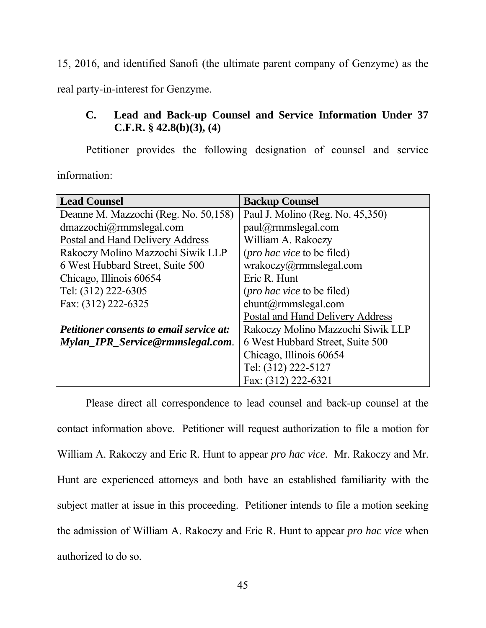15, 2016, and identified Sanofi (the ultimate parent company of Genzyme) as the real party-in-interest for Genzyme.

# **C. Lead and Back-up Counsel and Service Information Under 37 C.F.R. § 42.8(b)(3), (4)**

Petitioner provides the following designation of counsel and service information:

| <b>Lead Counsel</b>                             | <b>Backup Counsel</b>              |  |
|-------------------------------------------------|------------------------------------|--|
| Deanne M. Mazzochi (Reg. No. 50,158)            | Paul J. Molino (Reg. No. 45,350)   |  |
| dmazzochi@rmmslegal.com                         | paul@rmmslegal.com                 |  |
| Postal and Hand Delivery Address                | William A. Rakoczy                 |  |
| Rakoczy Molino Mazzochi Siwik LLP               | ( <i>pro hac vice</i> to be filed) |  |
| 6 West Hubbard Street, Suite 500                | wrakoczy@rmmslegal.com             |  |
| Chicago, Illinois 60654                         | Eric R. Hunt                       |  |
| Tel: (312) 222-6305                             | ( <i>pro hac vice</i> to be filed) |  |
| Fax: (312) 222-6325                             | $ehunt(\hat{a})$ rmmslegal.com     |  |
|                                                 | Postal and Hand Delivery Address   |  |
| <b>Petitioner consents to email service at:</b> | Rakoczy Molino Mazzochi Siwik LLP  |  |
| Mylan IPR Service@rmmslegal.com.                | 6 West Hubbard Street, Suite 500   |  |
|                                                 | Chicago, Illinois 60654            |  |
|                                                 | Tel: (312) 222-5127                |  |
|                                                 | Fax: (312) 222-6321                |  |

Please direct all correspondence to lead counsel and back-up counsel at the contact information above. Petitioner will request authorization to file a motion for William A. Rakoczy and Eric R. Hunt to appear *pro hac vice*. Mr. Rakoczy and Mr. Hunt are experienced attorneys and both have an established familiarity with the subject matter at issue in this proceeding. Petitioner intends to file a motion seeking the admission of William A. Rakoczy and Eric R. Hunt to appear *pro hac vice* when authorized to do so.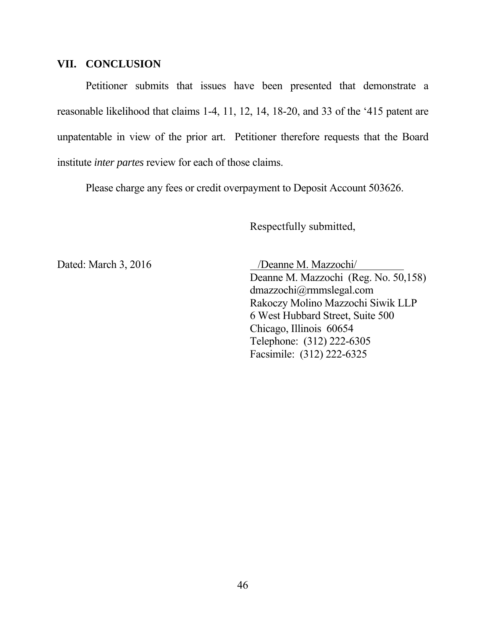### **VII. CONCLUSION**

Petitioner submits that issues have been presented that demonstrate a reasonable likelihood that claims 1-4, 11, 12, 14, 18-20, and 33 of the '415 patent are unpatentable in view of the prior art. Petitioner therefore requests that the Board institute *inter partes* review for each of those claims.

Please charge any fees or credit overpayment to Deposit Account 503626.

Respectfully submitted,

Dated: March 3, 2016 /Deanne M. Mazzochi/

Deanne M. Mazzochi (Reg. No. 50,158) dmazzochi@rmmslegal.com Rakoczy Molino Mazzochi Siwik LLP 6 West Hubbard Street, Suite 500 Chicago, Illinois 60654 Telephone: (312) 222-6305 Facsimile: (312) 222-6325